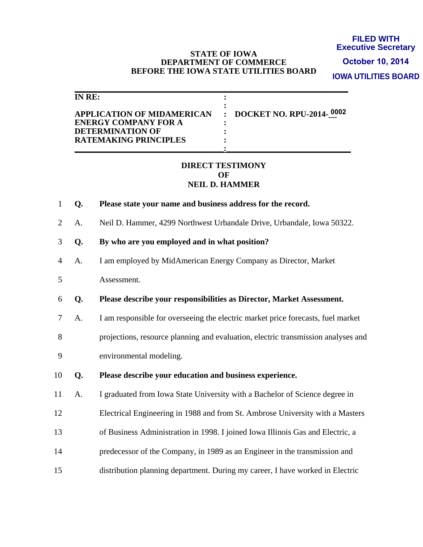#### **STATE OF IOWA DEPARTMENT OF COMMERCE BEFORE THE IOWA STATE UTILITIES BOARD**

**FILED WITH Executive Secretary IOWA UTILITIES BOARD October 10, 2014**

| IN RE:                                                    |                            |
|-----------------------------------------------------------|----------------------------|
| APPLICATION OF MIDAMERICAN<br><b>ENERGY COMPANY FOR A</b> | : DOCKET NO. RPU-2014-0002 |
| <b>DETERMINATION OF</b>                                   |                            |
| <b>RATEMAKING PRINCIPLES</b>                              |                            |

#### **DIRECT TESTIMONY OF NEIL D. HAMMER**

- 1 **Q. Please state your name and business address for the record.**
- 2 A. Neil D. Hammer, 4299 Northwest Urbandale Drive, Urbandale, Iowa 50322.
- 3 **Q. By who are you employed and in what position?**
- 4 A. I am employed by MidAmerican Energy Company as Director, Market
- 5 Assessment.
- 6 **Q. Please describe your responsibilities as Director, Market Assessment.**
- 7 A. I am responsible for overseeing the electric market price forecasts, fuel market
- 8 projections, resource planning and evaluation, electric transmission analyses and
- 9 environmental modeling.
- 10 **Q. Please describe your education and business experience.**
- 11 A. I graduated from Iowa State University with a Bachelor of Science degree in
- 12 Electrical Engineering in 1988 and from St. Ambrose University with a Masters
- 13 of Business Administration in 1998. I joined Iowa Illinois Gas and Electric, a
- 14 predecessor of the Company, in 1989 as an Engineer in the transmission and
- 15 distribution planning department. During my career, I have worked in Electric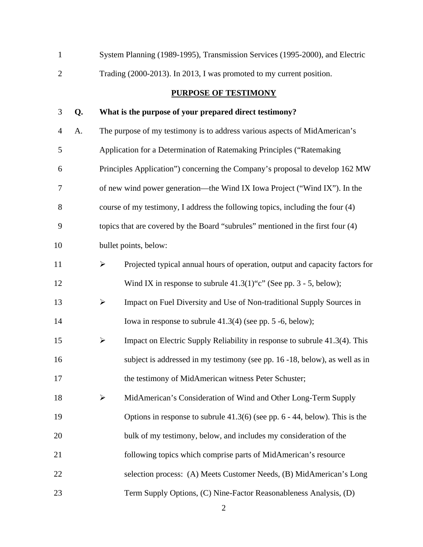| $\mathbf{1}$   |    |                       | System Planning (1989-1995), Transmission Services (1995-2000), and Electric    |
|----------------|----|-----------------------|---------------------------------------------------------------------------------|
| $\overline{2}$ |    |                       | Trading (2000-2013). In 2013, I was promoted to my current position.            |
|                |    |                       | <b>PURPOSE OF TESTIMONY</b>                                                     |
| 3              | Q. |                       | What is the purpose of your prepared direct testimony?                          |
| 4              | A. |                       | The purpose of my testimony is to address various aspects of MidAmerican's      |
| 5              |    |                       | Application for a Determination of Ratemaking Principles ("Ratemaking           |
| 6              |    |                       | Principles Application") concerning the Company's proposal to develop 162 MW    |
| 7              |    |                       | of new wind power generation—the Wind IX Iowa Project ("Wind IX"). In the       |
| 8              |    |                       | course of my testimony, I address the following topics, including the four (4)  |
| 9              |    |                       | topics that are covered by the Board "subrules" mentioned in the first four (4) |
| 10             |    |                       | bullet points, below:                                                           |
| 11             |    | ➤                     | Projected typical annual hours of operation, output and capacity factors for    |
| 12             |    |                       | Wind IX in response to subrule $41.3(1)$ "c" (See pp. 3 - 5, below);            |
| 13             |    | $\blacktriangleright$ | Impact on Fuel Diversity and Use of Non-traditional Supply Sources in           |
| 14             |    |                       | Iowa in response to subrule $41.3(4)$ (see pp. 5 -6, below);                    |
| 15             |    | ➤                     | Impact on Electric Supply Reliability in response to subrule 41.3(4). This      |
| 16             |    |                       | subject is addressed in my testimony (see pp. 16 -18, below), as well as in     |
| 17             |    |                       | the testimony of MidAmerican witness Peter Schuster;                            |
| 18             |    | $\blacktriangleright$ | MidAmerican's Consideration of Wind and Other Long-Term Supply                  |
| 19             |    |                       | Options in response to subrule $41.3(6)$ (see pp. 6 - 44, below). This is the   |
| 20             |    |                       | bulk of my testimony, below, and includes my consideration of the               |
| 21             |    |                       | following topics which comprise parts of MidAmerican's resource                 |
| 22             |    |                       | selection process: (A) Meets Customer Needs, (B) MidAmerican's Long             |
| 23             |    |                       | Term Supply Options, (C) Nine-Factor Reasonableness Analysis, (D)               |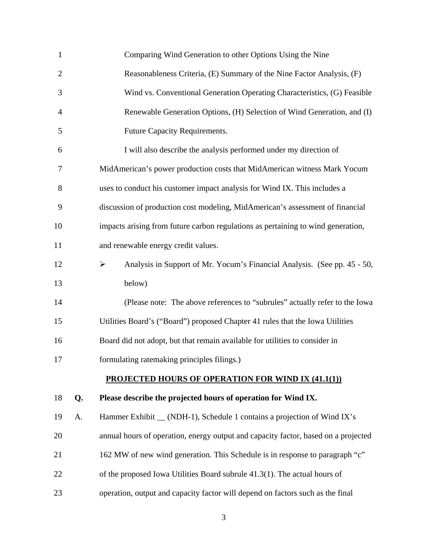| $\mathbf{1}$   |    | Comparing Wind Generation to other Options Using the Nine                          |
|----------------|----|------------------------------------------------------------------------------------|
| $\overline{2}$ |    | Reasonableness Criteria, (E) Summary of the Nine Factor Analysis, (F)              |
| 3              |    | Wind vs. Conventional Generation Operating Characteristics, (G) Feasible           |
| $\overline{4}$ |    | Renewable Generation Options, (H) Selection of Wind Generation, and (I)            |
| 5              |    | Future Capacity Requirements.                                                      |
| 6              |    | I will also describe the analysis performed under my direction of                  |
| 7              |    | MidAmerican's power production costs that MidAmerican witness Mark Yocum           |
| 8              |    | uses to conduct his customer impact analysis for Wind IX. This includes a          |
| 9              |    | discussion of production cost modeling, MidAmerican's assessment of financial      |
| 10             |    | impacts arising from future carbon regulations as pertaining to wind generation,   |
| 11             |    | and renewable energy credit values.                                                |
| 12             |    | Analysis in Support of Mr. Yocum's Financial Analysis. (See pp. 45 - 50,<br>➤      |
| 13             |    | below)                                                                             |
| 14             |    | (Please note: The above references to "subrules" actually refer to the Iowa        |
| 15             |    | Utilities Board's ("Board") proposed Chapter 41 rules that the Iowa Utilities      |
| 16             |    | Board did not adopt, but that remain available for utilities to consider in        |
| 17             |    | formulating ratemaking principles filings.)                                        |
|                |    | <b>PROJECTED HOURS OF OPERATION FOR WIND IX (41.1(1))</b>                          |
| 18             | Q. | Please describe the projected hours of operation for Wind IX.                      |
| 19             | A. | Hammer Exhibit _ (NDH-1), Schedule 1 contains a projection of Wind IX's            |
| 20             |    | annual hours of operation, energy output and capacity factor, based on a projected |
| 21             |    | 162 MW of new wind generation. This Schedule is in response to paragraph "c"       |
| 22             |    | of the proposed Iowa Utilities Board subrule $41.3(1)$ . The actual hours of       |
| 23             |    | operation, output and capacity factor will depend on factors such as the final     |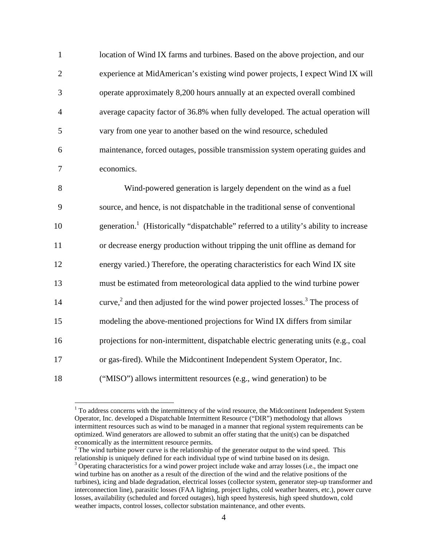| $\mathbf{1}$   | location of Wind IX farms and turbines. Based on the above projection, and our                    |
|----------------|---------------------------------------------------------------------------------------------------|
| $\overline{2}$ | experience at MidAmerican's existing wind power projects, I expect Wind IX will                   |
| 3              | operate approximately 8,200 hours annually at an expected overall combined                        |
| $\overline{4}$ | average capacity factor of 36.8% when fully developed. The actual operation will                  |
| 5              | vary from one year to another based on the wind resource, scheduled                               |
| 6              | maintenance, forced outages, possible transmission system operating guides and                    |
| 7              | economics.                                                                                        |
| 8              | Wind-powered generation is largely dependent on the wind as a fuel                                |
| 9              | source, and hence, is not dispatchable in the traditional sense of conventional                   |
| 10             | generation. <sup>1</sup> (Historically "dispatchable" referred to a utility's ability to increase |
| 11             | or decrease energy production without tripping the unit offline as demand for                     |
| 12             | energy varied.) Therefore, the operating characteristics for each Wind IX site                    |
| 13             | must be estimated from meteorological data applied to the wind turbine power                      |
| 14             | curve, $^2$ and then adjusted for the wind power projected losses. <sup>3</sup> The process of    |
| 15             | modeling the above-mentioned projections for Wind IX differs from similar                         |
| 16             | projections for non-intermittent, dispatchable electric generating units (e.g., coal              |
| 17             | or gas-fired). While the Midcontinent Independent System Operator, Inc.                           |
| 18             | ("MISO") allows intermittent resources (e.g., wind generation) to be                              |

<sup>&</sup>lt;sup>1</sup> To address concerns with the intermittency of the wind resource, the Midcontinent Independent System Operator, Inc. developed a Dispatchable Intermittent Resource ("DIR") methodology that allows intermittent resources such as wind to be managed in a manner that regional system requirements can be optimized. Wind generators are allowed to submit an offer stating that the unit(s) can be dispatched economically as the intermittent resource permits.

 $2<sup>2</sup>$  The wind turbine power curve is the relationship of the generator output to the wind speed. This relationship is uniquely defined for each individual type of wind turbine based on its design.

<sup>&</sup>lt;sup>3</sup> Operating characteristics for a wind power project include wake and array losses (i.e., the impact one wind turbine has on another as a result of the direction of the wind and the relative positions of the turbines), icing and blade degradation, electrical losses (collector system, generator step-up transformer and interconnection line), parasitic losses (FAA lighting, project lights, cold weather heaters, etc.), power curve losses, availability (scheduled and forced outages), high speed hysteresis, high speed shutdown, cold weather impacts, control losses, collector substation maintenance, and other events.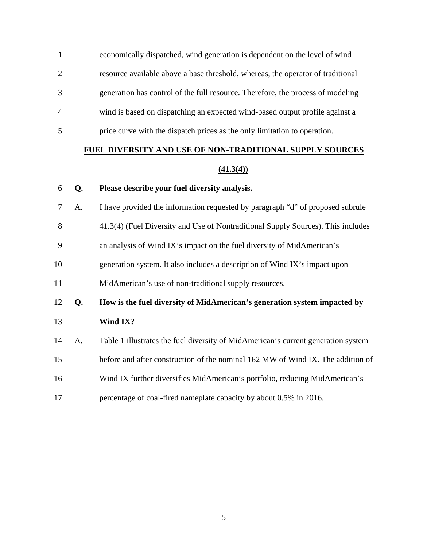- 1 economically dispatched, wind generation is dependent on the level of wind
- 2 resource available above a base threshold, whereas, the operator of traditional
- 3 generation has control of the full resource. Therefore, the process of modeling
- 4 wind is based on dispatching an expected wind-based output profile against a
- 5 price curve with the dispatch prices as the only limitation to operation.

# **FUEL DIVERSITY AND USE OF NON-TRADITIONAL SUPPLY SOURCES**

#### **(41.3(4))**

#### 6 **Q. Please describe your fuel diversity analysis.**

- 7 A. I have provided the information requested by paragraph "d" of proposed subrule
- 8 41.3(4) (Fuel Diversity and Use of Nontraditional Supply Sources). This includes
- 9 an analysis of Wind IX's impact on the fuel diversity of MidAmerican's
- 10 generation system. It also includes a description of Wind IX's impact upon
- 11 MidAmerican's use of non-traditional supply resources.
- 12 **Q. How is the fuel diversity of MidAmerican's generation system impacted by**  13 **Wind IX?**
- 14 A. Table 1 illustrates the fuel diversity of MidAmerican's current generation system
- 15 before and after construction of the nominal 162 MW of Wind IX. The addition of
- 16 Wind IX further diversifies MidAmerican's portfolio, reducing MidAmerican's
- 17 percentage of coal-fired nameplate capacity by about 0.5% in 2016.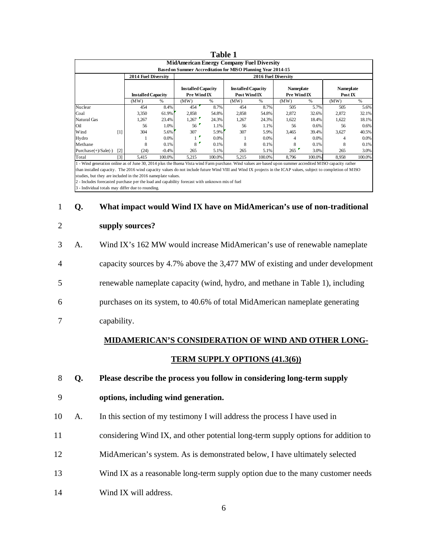|                                                                                                                                                                                                                                                                                                                            |                   |                            |         |                                                              | <b>Table 1</b> |                                           |                            |                                        |        |                      |         |
|----------------------------------------------------------------------------------------------------------------------------------------------------------------------------------------------------------------------------------------------------------------------------------------------------------------------------|-------------------|----------------------------|---------|--------------------------------------------------------------|----------------|-------------------------------------------|----------------------------|----------------------------------------|--------|----------------------|---------|
|                                                                                                                                                                                                                                                                                                                            |                   |                            |         | <b>MidAmerican Energy Company Fuel Diversity</b>             |                |                                           |                            |                                        |        |                      |         |
|                                                                                                                                                                                                                                                                                                                            |                   |                            |         | Based on Summer Accreditation for MISO Planning Year 2014-15 |                |                                           |                            |                                        |        |                      |         |
|                                                                                                                                                                                                                                                                                                                            |                   | <b>2014 Fuel Diversity</b> |         |                                                              |                |                                           | <b>2016 Fuel Diversity</b> |                                        |        |                      |         |
|                                                                                                                                                                                                                                                                                                                            |                   | <b>Installed Capacity</b>  |         | <b>Installed Capacity</b><br>Pre Wind IX                     |                | <b>Installed Capacity</b><br>Post Wind IX |                            | <b>Nameplate</b><br><b>Pre Wind IX</b> |        | Nameplate<br>Post IX |         |
|                                                                                                                                                                                                                                                                                                                            |                   | (MW)                       | %       | (MW)                                                         | %              | (MW)                                      | %                          | (MW)                                   | %      | (MW)                 | $\%$    |
| Nuclear                                                                                                                                                                                                                                                                                                                    |                   | 454                        | 8.4%    | 454                                                          | 8.7%           | 454                                       | 8.7%                       | 505                                    | 5.7%   | 505                  | 5.6%    |
| Coal                                                                                                                                                                                                                                                                                                                       |                   | 3,350                      | 61.9%   | 2,858                                                        | 54.8%          | 2,858                                     | 54.8%                      | 2,872                                  | 32.6%  | 2,872                | 32.1%   |
| Natural Gas                                                                                                                                                                                                                                                                                                                |                   | 1,267                      | 23.4%   | 1,267                                                        | 24.3%          | 1,267                                     | 24.3%                      | 1,622                                  | 18.4%  | 1,622                | 18.1%   |
| Oil                                                                                                                                                                                                                                                                                                                        |                   | 56                         | 1.0%    | 56                                                           | 1.1%           | 56                                        | 1.1%                       | 56                                     | 0.6%   | 56                   | 0.6%    |
| Wind                                                                                                                                                                                                                                                                                                                       | [1]               | 304                        | 5.6%    | 307                                                          | 5.9%           | 307                                       | 5.9%                       | 3,465                                  | 39.4%  | 3,627                | 40.5%   |
| Hydro                                                                                                                                                                                                                                                                                                                      |                   |                            | $0.0\%$ |                                                              | $0.0\%$        |                                           | 0.0%                       |                                        | 0.0%   |                      | $0.0\%$ |
| Methane                                                                                                                                                                                                                                                                                                                    |                   | 8                          | 0.1%    | 8                                                            | $0.1\%$        | 8                                         | 0.1%                       | 8                                      | 0.1%   | 8                    | 0.1%    |
| Purchase $(+)$ /Sale $(-)$                                                                                                                                                                                                                                                                                                 | $\lceil 2 \rceil$ | (24)                       | $-0.4%$ | 265                                                          | 5.1%           | 265                                       | 5.1%                       | 265                                    | 3.0%   | 265                  | 3.0%    |
| Total                                                                                                                                                                                                                                                                                                                      | [3]               | 5,415                      | 100.0%  | 5,215                                                        | 100.0%         | 5,215                                     | 100.0%                     | 8,796                                  | 100.0% | 8,958                | 100.0%  |
| 1 - Wind generation online as of June 30, 2014 plus the Buena Vista wind Farm purchase. Wind values are based upon summer accredited MISO capacity rather<br>than installed capacity. The 2016 wind capacity values do not include future Wind VIII and Wind IX projects in the ICAP values, subject to completion of MISO |                   |                            |         |                                                              |                |                                           |                            |                                        |        |                      |         |

studies, but they are included in the 2016 nameplate values.

2 - Includes forecasted purchase per the load and capability forecast with unknown mix of fuel

3 - Individual totals may differ due to rounding.

#### 1 **Q. What impact would Wind IX have on MidAmerican's use of non-traditional**

#### 2 **supply sources?**

3 A. Wind IX's 162 MW would increase MidAmerican's use of renewable nameplate 4 capacity sources by 4.7% above the 3,477 MW of existing and under development 5 renewable nameplate capacity (wind, hydro, and methane in Table 1), including 6 purchases on its system, to 40.6% of total MidAmerican nameplate generating

#### 7 capability.

# **MIDAMERICAN'S CONSIDERATION OF WIND AND OTHER LONG-TERM SUPPLY OPTIONS (41.3(6))**

- 8 **Q. Please describe the process you follow in considering long-term supply**
- 9 **options, including wind generation.**
- 10 A. In this section of my testimony I will address the process I have used in
- 11 considering Wind IX, and other potential long-term supply options for addition to
- 12 MidAmerican's system. As is demonstrated below, I have ultimately selected
- 13 Wind IX as a reasonable long-term supply option due to the many customer needs
- 14 Wind IX will address.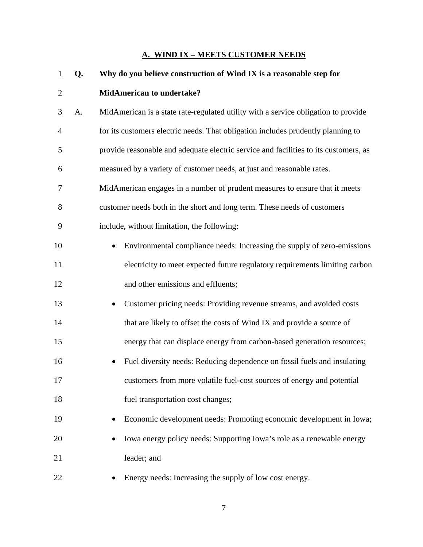#### **A. WIND IX – MEETS CUSTOMER NEEDS**

| $\mathbf{1}$   | Q. | Why do you believe construction of Wind IX is a reasonable step for                  |
|----------------|----|--------------------------------------------------------------------------------------|
| $\overline{2}$ |    | <b>MidAmerican to undertake?</b>                                                     |
| 3              | A. | MidAmerican is a state rate-regulated utility with a service obligation to provide   |
| $\overline{4}$ |    | for its customers electric needs. That obligation includes prudently planning to     |
| 5              |    | provide reasonable and adequate electric service and facilities to its customers, as |
| 6              |    | measured by a variety of customer needs, at just and reasonable rates.               |
| 7              |    | MidAmerican engages in a number of prudent measures to ensure that it meets          |
| 8              |    | customer needs both in the short and long term. These needs of customers             |
| 9              |    | include, without limitation, the following:                                          |
| 10             |    | Environmental compliance needs: Increasing the supply of zero-emissions              |
| 11             |    | electricity to meet expected future regulatory requirements limiting carbon          |
| 12             |    | and other emissions and effluents;                                                   |
| 13             |    | Customer pricing needs: Providing revenue streams, and avoided costs                 |
| 14             |    | that are likely to offset the costs of Wind IX and provide a source of               |
| 15             |    | energy that can displace energy from carbon-based generation resources;              |
| 16             |    | Fuel diversity needs: Reducing dependence on fossil fuels and insulating             |
| 17             |    | customers from more volatile fuel-cost sources of energy and potential               |
| 18             |    | fuel transportation cost changes;                                                    |
| 19             |    | Economic development needs: Promoting economic development in Iowa;                  |
| 20             |    | Iowa energy policy needs: Supporting Iowa's role as a renewable energy               |
| 21             |    | leader; and                                                                          |
| 22             |    | Energy needs: Increasing the supply of low cost energy.                              |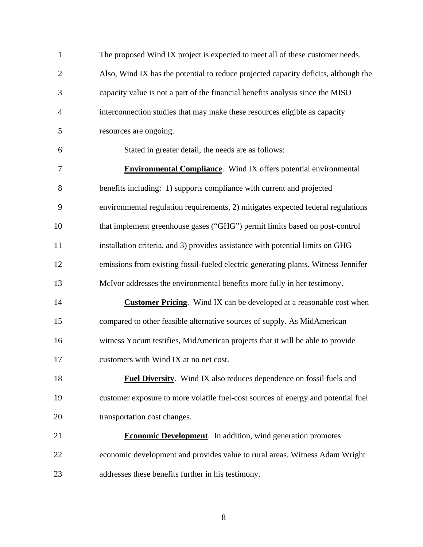| $\mathbf{1}$   | The proposed Wind IX project is expected to meet all of these customer needs.       |
|----------------|-------------------------------------------------------------------------------------|
| $\overline{2}$ | Also, Wind IX has the potential to reduce projected capacity deficits, although the |
| 3              | capacity value is not a part of the financial benefits analysis since the MISO      |
| $\overline{4}$ | interconnection studies that may make these resources eligible as capacity          |
| 5              | resources are ongoing.                                                              |
| 6              | Stated in greater detail, the needs are as follows:                                 |
| 7              | <b>Environmental Compliance</b> . Wind IX offers potential environmental            |
| 8              | benefits including: 1) supports compliance with current and projected               |
| 9              | environmental regulation requirements, 2) mitigates expected federal regulations    |
| 10             | that implement greenhouse gases ("GHG") permit limits based on post-control         |
| 11             | installation criteria, and 3) provides assistance with potential limits on GHG      |
| 12             | emissions from existing fossil-fueled electric generating plants. Witness Jennifer  |
| 13             | McIvor addresses the environmental benefits more fully in her testimony.            |
| 14             | <b>Customer Pricing.</b> Wind IX can be developed at a reasonable cost when         |
| 15             | compared to other feasible alternative sources of supply. As MidAmerican            |
| 16             | witness Yocum testifies, MidAmerican projects that it will be able to provide       |
| 17             | customers with Wind IX at no net cost.                                              |
| 18             | <b>Fuel Diversity.</b> Wind IX also reduces dependence on fossil fuels and          |
| 19             | customer exposure to more volatile fuel-cost sources of energy and potential fuel   |
| 20             | transportation cost changes.                                                        |
| 21             | <b>Economic Development</b> . In addition, wind generation promotes                 |
| 22             | economic development and provides value to rural areas. Witness Adam Wright         |
| 23             | addresses these benefits further in his testimony.                                  |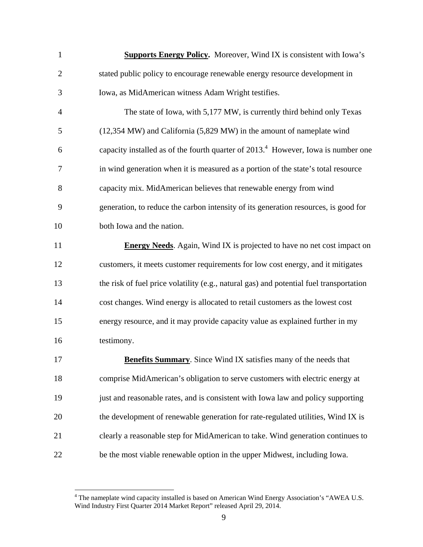| $\mathbf{1}$   | <b>Supports Energy Policy.</b> Moreover, Wind IX is consistent with Iowa's              |
|----------------|-----------------------------------------------------------------------------------------|
| $\overline{c}$ | stated public policy to encourage renewable energy resource development in              |
| 3              | Iowa, as MidAmerican witness Adam Wright testifies.                                     |
| 4              | The state of Iowa, with 5,177 MW, is currently third behind only Texas                  |
| 5              | (12,354 MW) and California (5,829 MW) in the amount of nameplate wind                   |
| 6              | capacity installed as of the fourth quarter of $20134$ . However, Iowa is number one    |
| 7              | in wind generation when it is measured as a portion of the state's total resource       |
| 8              | capacity mix. MidAmerican believes that renewable energy from wind                      |
| 9              | generation, to reduce the carbon intensity of its generation resources, is good for     |
| 10             | both Iowa and the nation.                                                               |
| 11             | <b>Energy Needs.</b> Again, Wind IX is projected to have no net cost impact on          |
| 12             | customers, it meets customer requirements for low cost energy, and it mitigates         |
| 13             | the risk of fuel price volatility (e.g., natural gas) and potential fuel transportation |
| 14             | cost changes. Wind energy is allocated to retail customers as the lowest cost           |
| 15             | energy resource, and it may provide capacity value as explained further in my           |
| 16             | testimony.                                                                              |
| 17             | <b>Benefits Summary.</b> Since Wind IX satisfies many of the needs that                 |
| 18             | comprise MidAmerican's obligation to serve customers with electric energy at            |
| 19             | just and reasonable rates, and is consistent with Iowa law and policy supporting        |
| 20             | the development of renewable generation for rate-regulated utilities, Wind IX is        |
| 21             | clearly a reasonable step for MidAmerican to take. Wind generation continues to         |
| 22             | be the most viable renewable option in the upper Midwest, including Iowa.               |

 4 The nameplate wind capacity installed is based on American Wind Energy Association's "AWEA U.S. Wind Industry First Quarter 2014 Market Report" released April 29, 2014.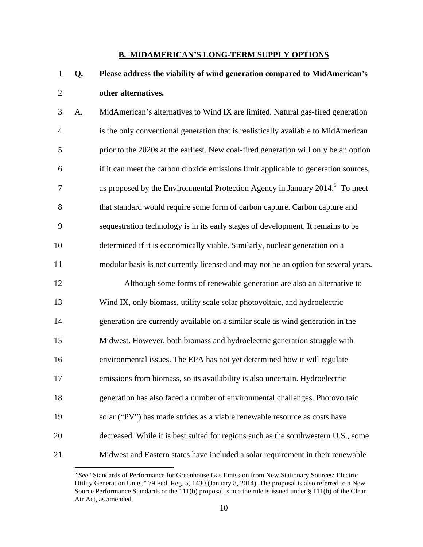#### **B. MIDAMERICAN'S LONG-TERM SUPPLY OPTIONS**

- 1 **Q. Please address the viability of wind generation compared to MidAmerican's**  2 **other alternatives.**
- 3 A. MidAmerican's alternatives to Wind IX are limited. Natural gas-fired generation 4 is the only conventional generation that is realistically available to MidAmerican 5 prior to the 2020s at the earliest. New coal-fired generation will only be an option 6 if it can meet the carbon dioxide emissions limit applicable to generation sources, as proposed by the Environmental Protection Agency in January  $2014$ <sup>5</sup>. To meet 8 that standard would require some form of carbon capture. Carbon capture and 9 sequestration technology is in its early stages of development. It remains to be 10 determined if it is economically viable. Similarly, nuclear generation on a 11 modular basis is not currently licensed and may not be an option for several years. 12 Although some forms of renewable generation are also an alternative to 13 Wind IX, only biomass, utility scale solar photovoltaic, and hydroelectric 14 generation are currently available on a similar scale as wind generation in the 15 Midwest. However, both biomass and hydroelectric generation struggle with 16 environmental issues. The EPA has not yet determined how it will regulate 17 emissions from biomass, so its availability is also uncertain. Hydroelectric
- 18 generation has also faced a number of environmental challenges. Photovoltaic
- 19 solar ("PV") has made strides as a viable renewable resource as costs have
- 20 decreased. While it is best suited for regions such as the southwestern U.S., some
- 21 Midwest and Eastern states have included a solar requirement in their renewable

<sup>5</sup> *See* "Standards of Performance for Greenhouse Gas Emission from New Stationary Sources: Electric Utility Generation Units," 79 Fed. Reg. 5, 1430 (January 8, 2014). The proposal is also referred to a New Source Performance Standards or the 111(b) proposal, since the rule is issued under § 111(b) of the Clean Air Act, as amended.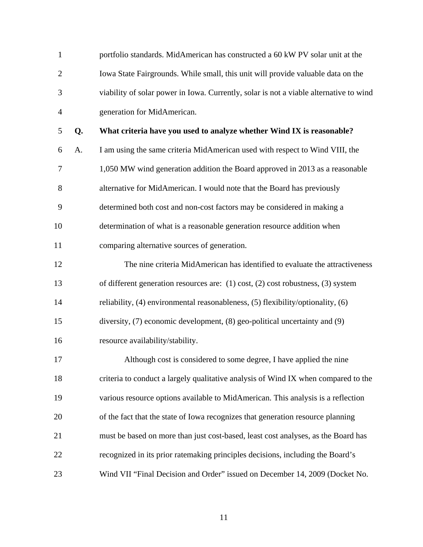| $\mathbf{1}$   |    | portfolio standards. MidAmerican has constructed a 60 kW PV solar unit at the          |
|----------------|----|----------------------------------------------------------------------------------------|
| $\overline{2}$ |    | Iowa State Fairgrounds. While small, this unit will provide valuable data on the       |
| 3              |    | viability of solar power in Iowa. Currently, solar is not a viable alternative to wind |
| $\overline{4}$ |    | generation for MidAmerican.                                                            |
| 5              | Q. | What criteria have you used to analyze whether Wind IX is reasonable?                  |
| 6              | A. | I am using the same criteria MidAmerican used with respect to Wind VIII, the           |
| 7              |    | 1,050 MW wind generation addition the Board approved in 2013 as a reasonable           |
| 8              |    | alternative for MidAmerican. I would note that the Board has previously                |
| 9              |    | determined both cost and non-cost factors may be considered in making a                |
| 10             |    | determination of what is a reasonable generation resource addition when                |
| 11             |    | comparing alternative sources of generation.                                           |
| 12             |    | The nine criteria MidAmerican has identified to evaluate the attractiveness            |
| 13             |    | of different generation resources are: $(1)$ cost, $(2)$ cost robustness, $(3)$ system |
| 14             |    | reliability, (4) environmental reasonableness, (5) flexibility/optionality, (6)        |
| 15             |    | diversity, (7) economic development, (8) geo-political uncertainty and (9)             |
| 16             |    | resource availability/stability.                                                       |
| 17             |    | Although cost is considered to some degree, I have applied the nine                    |
| 18             |    | criteria to conduct a largely qualitative analysis of Wind IX when compared to the     |
| 19             |    | various resource options available to MidAmerican. This analysis is a reflection       |
| 20             |    | of the fact that the state of Iowa recognizes that generation resource planning        |
| 21             |    | must be based on more than just cost-based, least cost analyses, as the Board has      |
| 22             |    | recognized in its prior ratemaking principles decisions, including the Board's         |
| 23             |    | Wind VII "Final Decision and Order" issued on December 14, 2009 (Docket No.            |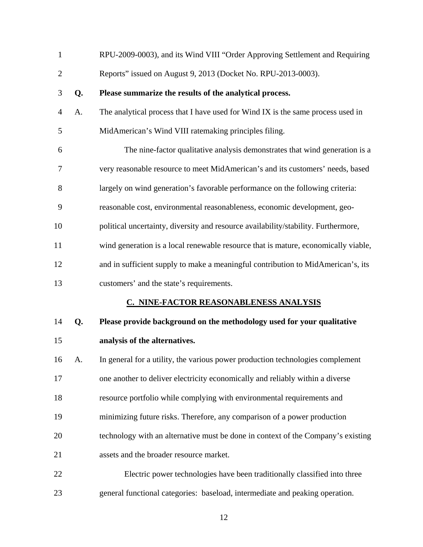| $\mathbf{1}$   |    | RPU-2009-0003), and its Wind VIII "Order Approving Settlement and Requiring        |
|----------------|----|------------------------------------------------------------------------------------|
| $\overline{c}$ |    | Reports" issued on August 9, 2013 (Docket No. RPU-2013-0003).                      |
| 3              | Q. | Please summarize the results of the analytical process.                            |
| 4              | A. | The analytical process that I have used for Wind IX is the same process used in    |
| 5              |    | MidAmerican's Wind VIII ratemaking principles filing.                              |
| 6              |    | The nine-factor qualitative analysis demonstrates that wind generation is a        |
| 7              |    | very reasonable resource to meet MidAmerican's and its customers' needs, based     |
| 8              |    | largely on wind generation's favorable performance on the following criteria:      |
| 9              |    | reasonable cost, environmental reasonableness, economic development, geo-          |
| 10             |    | political uncertainty, diversity and resource availability/stability. Furthermore, |
| 11             |    | wind generation is a local renewable resource that is mature, economically viable, |
| 12             |    | and in sufficient supply to make a meaningful contribution to MidAmerican's, its   |
| 13             |    | customers' and the state's requirements.                                           |
|                |    | <b>C. NINE-FACTOR REASONABLENESS ANALYSIS</b>                                      |
| 14             | Q. | Please provide background on the methodology used for your qualitative             |
| 15             |    | analysis of the alternatives.                                                      |
| 16             | А. | In general for a utility, the various power production technologies complement     |
| 17             |    | one another to deliver electricity economically and reliably within a diverse      |
| 18             |    | resource portfolio while complying with environmental requirements and             |
| 19             |    | minimizing future risks. Therefore, any comparison of a power production           |
| 20             |    | technology with an alternative must be done in context of the Company's existing   |
| 21             |    | assets and the broader resource market.                                            |
| 22             |    | Electric power technologies have been traditionally classified into three          |
| 23             |    | general functional categories: baseload, intermediate and peaking operation.       |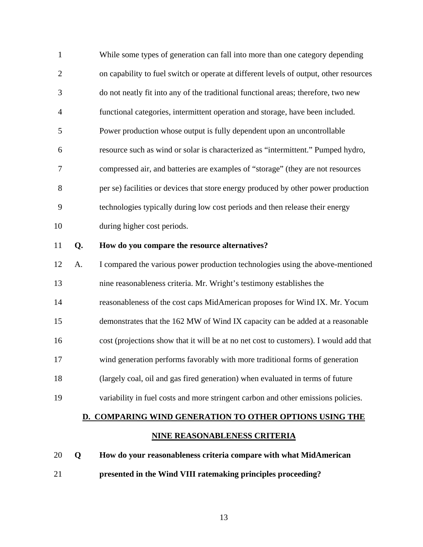| $\mathbf{1}$   |    | While some types of generation can fall into more than one category depending          |
|----------------|----|----------------------------------------------------------------------------------------|
| $\overline{2}$ |    | on capability to fuel switch or operate at different levels of output, other resources |
| 3              |    | do not neatly fit into any of the traditional functional areas; therefore, two new     |
| 4              |    | functional categories, intermittent operation and storage, have been included.         |
| 5              |    | Power production whose output is fully dependent upon an uncontrollable                |
| 6              |    | resource such as wind or solar is characterized as "intermittent." Pumped hydro,       |
| 7              |    | compressed air, and batteries are examples of "storage" (they are not resources        |
| 8              |    | per se) facilities or devices that store energy produced by other power production     |
| 9              |    | technologies typically during low cost periods and then release their energy           |
| 10             |    | during higher cost periods.                                                            |
|                |    |                                                                                        |
| 11             | Q. | How do you compare the resource alternatives?                                          |
| 12             | A. | I compared the various power production technologies using the above-mentioned         |
| 13             |    | nine reasonableness criteria. Mr. Wright's testimony establishes the                   |
| 14             |    | reasonableness of the cost caps MidAmerican proposes for Wind IX. Mr. Yocum            |
| 15             |    | demonstrates that the 162 MW of Wind IX capacity can be added at a reasonable          |
| 16             |    | cost (projections show that it will be at no net cost to customers). I would add that  |
| 17             |    | wind generation performs favorably with more traditional forms of generation           |
| 18             |    | (largely coal, oil and gas fired generation) when evaluated in terms of future         |
| 19             |    | variability in fuel costs and more stringent carbon and other emissions policies.      |

#### **NINE REASONABLENESS CRITERIA**

20 **Q How do your reasonableness criteria compare with what MidAmerican**  21 **presented in the Wind VIII ratemaking principles proceeding?**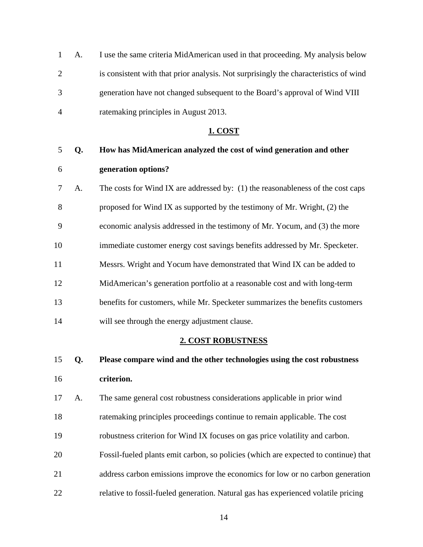1 A. I use the same criteria MidAmerican used in that proceeding. My analysis below 2 is consistent with that prior analysis. Not surprisingly the characteristics of wind 3 generation have not changed subsequent to the Board's approval of Wind VIII 4 ratemaking principles in August 2013.

#### **1. COST**

# 5 **Q. How has MidAmerican analyzed the cost of wind generation and other**  6 **generation options?**

7 A. The costs for Wind IX are addressed by: (1) the reasonableness of the cost caps 8 proposed for Wind IX as supported by the testimony of Mr. Wright, (2) the 9 economic analysis addressed in the testimony of Mr. Yocum, and (3) the more 10 immediate customer energy cost savings benefits addressed by Mr. Specketer. 11 Messrs. Wright and Yocum have demonstrated that Wind IX can be added to 12 MidAmerican's generation portfolio at a reasonable cost and with long-term 13 benefits for customers, while Mr. Specketer summarizes the benefits customers 14 will see through the energy adjustment clause.

#### **2. COST ROBUSTNESS**

- 15 **Q. Please compare wind and the other technologies using the cost robustness**  16 **criterion.**
- 17 A. The same general cost robustness considerations applicable in prior wind 18 ratemaking principles proceedings continue to remain applicable. The cost 19 robustness criterion for Wind IX focuses on gas price volatility and carbon.
- 20 Fossil-fueled plants emit carbon, so policies (which are expected to continue) that 21 address carbon emissions improve the economics for low or no carbon generation
- 22 relative to fossil-fueled generation. Natural gas has experienced volatile pricing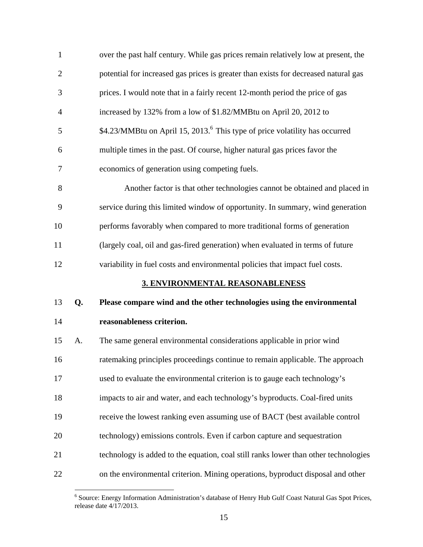| $\mathbf{1}$   |    | over the past half century. While gas prices remain relatively low at present, the      |
|----------------|----|-----------------------------------------------------------------------------------------|
| $\overline{c}$ |    | potential for increased gas prices is greater than exists for decreased natural gas     |
| 3              |    | prices. I would note that in a fairly recent 12-month period the price of gas           |
| 4              |    | increased by 132% from a low of \$1.82/MMBtu on April 20, 2012 to                       |
| 5              |    | \$4.23/MMBtu on April 15, 2013. <sup>6</sup> This type of price volatility has occurred |
| 6              |    | multiple times in the past. Of course, higher natural gas prices favor the              |
| 7              |    | economics of generation using competing fuels.                                          |
| 8              |    | Another factor is that other technologies cannot be obtained and placed in              |
| 9              |    | service during this limited window of opportunity. In summary, wind generation          |
| 10             |    | performs favorably when compared to more traditional forms of generation                |
| 11             |    | (largely coal, oil and gas-fired generation) when evaluated in terms of future          |
| 12             |    | variability in fuel costs and environmental policies that impact fuel costs.            |
|                |    | 3. ENVIRONMENTAL REASONABLENESS                                                         |
| 13             | Q. | Please compare wind and the other technologies using the environmental                  |
| 14             |    | reasonableness criterion.                                                               |
| 15             | A. | The same general environmental considerations applicable in prior wind                  |
| 16             |    | ratemaking principles proceedings continue to remain applicable. The approach           |
|                |    |                                                                                         |
| 17             |    | used to evaluate the environmental criterion is to gauge each technology's              |
| 18             |    | impacts to air and water, and each technology's byproducts. Coal-fired units            |
| 19             |    | receive the lowest ranking even assuming use of BACT (best available control            |
| 20             |    | technology) emissions controls. Even if carbon capture and sequestration                |
| 21             |    | technology is added to the equation, coal still ranks lower than other technologies     |

 6 Source: Energy Information Administration's database of Henry Hub Gulf Coast Natural Gas Spot Prices, release date 4/17/2013.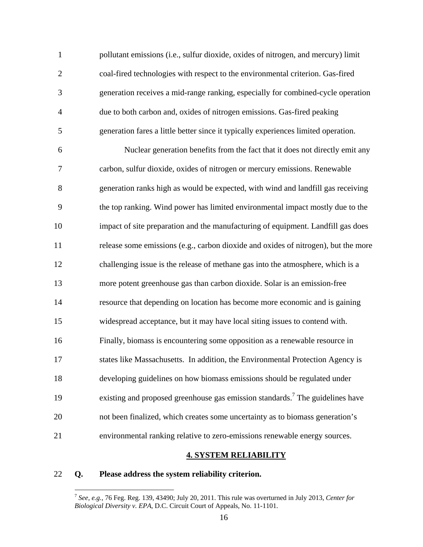1 pollutant emissions (i.e., sulfur dioxide, oxides of nitrogen, and mercury) limit 2 coal-fired technologies with respect to the environmental criterion. Gas-fired 3 generation receives a mid-range ranking, especially for combined-cycle operation 4 due to both carbon and, oxides of nitrogen emissions. Gas-fired peaking 5 generation fares a little better since it typically experiences limited operation.

6 Nuclear generation benefits from the fact that it does not directly emit any 7 carbon, sulfur dioxide, oxides of nitrogen or mercury emissions. Renewable 8 generation ranks high as would be expected, with wind and landfill gas receiving 9 the top ranking. Wind power has limited environmental impact mostly due to the 10 impact of site preparation and the manufacturing of equipment. Landfill gas does 11 release some emissions (e.g., carbon dioxide and oxides of nitrogen), but the more 12 challenging issue is the release of methane gas into the atmosphere, which is a 13 more potent greenhouse gas than carbon dioxide. Solar is an emission-free 14 resource that depending on location has become more economic and is gaining 15 widespread acceptance, but it may have local siting issues to contend with. 16 Finally, biomass is encountering some opposition as a renewable resource in 17 states like Massachusetts. In addition, the Environmental Protection Agency is 18 developing guidelines on how biomass emissions should be regulated under existing and proposed greenhouse gas emission standards.<sup>7</sup> The guidelines have 20 not been finalized, which creates some uncertainty as to biomass generation's 21 environmental ranking relative to zero-emissions renewable energy sources.

#### **4. SYSTEM RELIABILITY**

#### 22 **Q. Please address the system reliability criterion.**

<sup>7</sup> *See, e.g.,* 76 Feg. Reg. 139, 43490; July 20, 2011. This rule was overturned in July 2013, *Center for Biological Diversity v. EPA*, D.C. Circuit Court of Appeals, No. 11-1101.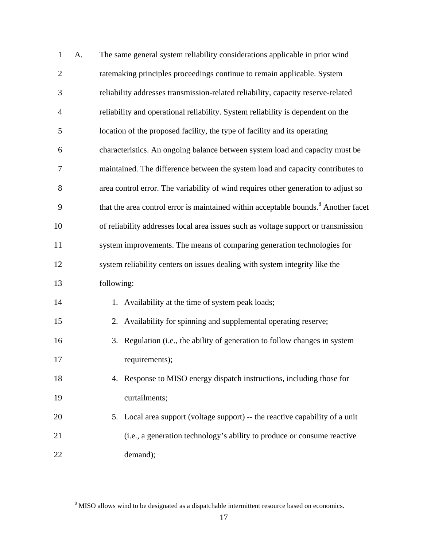| $\mathbf{1}$   | A. | The same general system reliability considerations applicable in prior wind                    |
|----------------|----|------------------------------------------------------------------------------------------------|
| $\overline{c}$ |    | ratemaking principles proceedings continue to remain applicable. System                        |
| 3              |    | reliability addresses transmission-related reliability, capacity reserve-related               |
| $\overline{4}$ |    | reliability and operational reliability. System reliability is dependent on the                |
| 5              |    | location of the proposed facility, the type of facility and its operating                      |
| 6              |    | characteristics. An ongoing balance between system load and capacity must be                   |
| 7              |    | maintained. The difference between the system load and capacity contributes to                 |
| 8              |    | area control error. The variability of wind requires other generation to adjust so             |
| 9              |    | that the area control error is maintained within acceptable bounds. <sup>8</sup> Another facet |
| 10             |    | of reliability addresses local area issues such as voltage support or transmission             |
| 11             |    | system improvements. The means of comparing generation technologies for                        |
| 12             |    | system reliability centers on issues dealing with system integrity like the                    |
| 13             |    | following:                                                                                     |
| 14             |    | 1. Availability at the time of system peak loads;                                              |
| 15             |    | Availability for spinning and supplemental operating reserve;<br>2.                            |
| 16             |    | Regulation (i.e., the ability of generation to follow changes in system<br>3.                  |
| 17             |    | requirements);                                                                                 |
| 18             |    | Response to MISO energy dispatch instructions, including those for<br>4.                       |
| 19             |    | curtailments;                                                                                  |
| 20             |    | 5. Local area support (voltage support) -- the reactive capability of a unit                   |
| 21             |    | (i.e., a generation technology's ability to produce or consume reactive                        |
| 22             |    | demand);                                                                                       |

<sup>&</sup>lt;sup>8</sup> MISO allows wind to be designated as a dispatchable intermittent resource based on economics.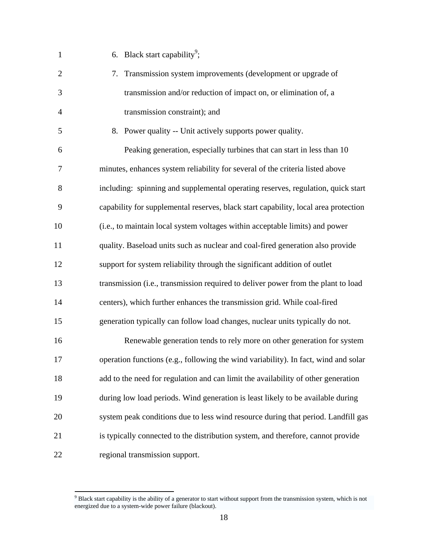| $\mathbf{1}$   | 6. Black start capability <sup>9</sup> ;                                            |
|----------------|-------------------------------------------------------------------------------------|
| $\overline{2}$ | Transmission system improvements (development or upgrade of<br>7.                   |
| 3              | transmission and/or reduction of impact on, or elimination of, a                    |
| 4              | transmission constraint); and                                                       |
| 5              | 8. Power quality -- Unit actively supports power quality.                           |
| 6              | Peaking generation, especially turbines that can start in less than 10              |
| 7              | minutes, enhances system reliability for several of the criteria listed above       |
| 8              | including: spinning and supplemental operating reserves, regulation, quick start    |
| 9              | capability for supplemental reserves, black start capability, local area protection |
| 10             | (i.e., to maintain local system voltages within acceptable limits) and power        |
| 11             | quality. Baseload units such as nuclear and coal-fired generation also provide      |
| 12             | support for system reliability through the significant addition of outlet           |
| 13             | transmission (i.e., transmission required to deliver power from the plant to load   |
| 14             | centers), which further enhances the transmission grid. While coal-fired            |
| 15             | generation typically can follow load changes, nuclear units typically do not.       |
| 16             | Renewable generation tends to rely more on other generation for system              |
| 17             | operation functions (e.g., following the wind variability). In fact, wind and solar |
| 18             | add to the need for regulation and can limit the availability of other generation   |
| 19             | during low load periods. Wind generation is least likely to be available during     |
| 20             | system peak conditions due to less wind resource during that period. Landfill gas   |
| 21             | is typically connected to the distribution system, and therefore, cannot provide    |
| 22             | regional transmission support.                                                      |

<sup>&</sup>lt;sup>9</sup> Black start capability is the ability of a generator to start without support from the transmission system, which is not energized due to a system-wide power failure (blackout).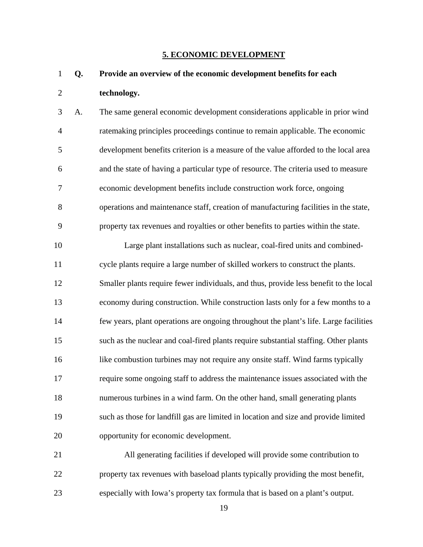#### **5. ECONOMIC DEVELOPMENT**

### 1 **Q. Provide an overview of the economic development benefits for each**  2 **technology.**

3 A. The same general economic development considerations applicable in prior wind 4 ratemaking principles proceedings continue to remain applicable. The economic 5 development benefits criterion is a measure of the value afforded to the local area 6 and the state of having a particular type of resource. The criteria used to measure 7 economic development benefits include construction work force, ongoing 8 operations and maintenance staff, creation of manufacturing facilities in the state, 9 property tax revenues and royalties or other benefits to parties within the state.

10 Large plant installations such as nuclear, coal-fired units and combined-11 cycle plants require a large number of skilled workers to construct the plants. 12 Smaller plants require fewer individuals, and thus, provide less benefit to the local 13 economy during construction. While construction lasts only for a few months to a 14 few years, plant operations are ongoing throughout the plant's life. Large facilities 15 such as the nuclear and coal-fired plants require substantial staffing. Other plants 16 like combustion turbines may not require any onsite staff. Wind farms typically 17 require some ongoing staff to address the maintenance issues associated with the 18 numerous turbines in a wind farm. On the other hand, small generating plants 19 such as those for landfill gas are limited in location and size and provide limited 20 opportunity for economic development.

21 All generating facilities if developed will provide some contribution to 22 property tax revenues with baseload plants typically providing the most benefit, 23 especially with Iowa's property tax formula that is based on a plant's output.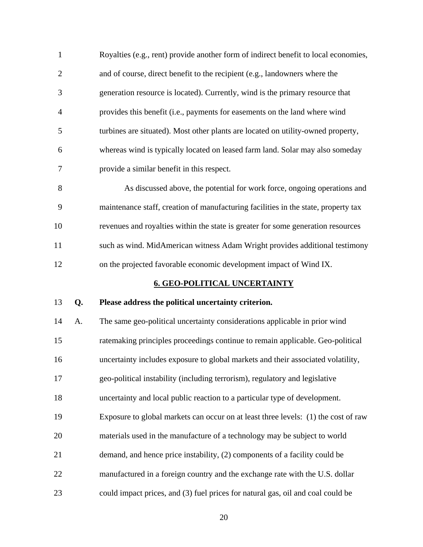| $\mathbf{1}$   |    | Royalties (e.g., rent) provide another form of indirect benefit to local economies, |
|----------------|----|-------------------------------------------------------------------------------------|
| $\mathbf{2}$   |    | and of course, direct benefit to the recipient (e.g., landowners where the          |
| 3              |    | generation resource is located). Currently, wind is the primary resource that       |
| $\overline{4}$ |    | provides this benefit (i.e., payments for easements on the land where wind          |
| 5              |    | turbines are situated). Most other plants are located on utility-owned property,    |
| 6              |    | whereas wind is typically located on leased farm land. Solar may also someday       |
| 7              |    | provide a similar benefit in this respect.                                          |
| 8              |    | As discussed above, the potential for work force, ongoing operations and            |
| 9              |    | maintenance staff, creation of manufacturing facilities in the state, property tax  |
| 10             |    | revenues and royalties within the state is greater for some generation resources    |
| 11             |    | such as wind. MidAmerican witness Adam Wright provides additional testimony         |
| 12             |    | on the projected favorable economic development impact of Wind IX.                  |
|                |    |                                                                                     |
|                |    | <b>6. GEO-POLITICAL UNCERTAINTY</b>                                                 |
| 13             | Q. | Please address the political uncertainty criterion.                                 |
| 14             | A. | The same geo-political uncertainty considerations applicable in prior wind          |
| 15             |    | ratemaking principles proceedings continue to remain applicable. Geo-political      |
| 16             |    | uncertainty includes exposure to global markets and their associated volatility,    |
| 17             |    | geo-political instability (including terrorism), regulatory and legislative         |
| 18             |    | uncertainty and local public reaction to a particular type of development.          |
| 19             |    | Exposure to global markets can occur on at least three levels: (1) the cost of raw  |
| 20             |    | materials used in the manufacture of a technology may be subject to world           |
| 21             |    | demand, and hence price instability, (2) components of a facility could be          |
| 22             |    | manufactured in a foreign country and the exchange rate with the U.S. dollar        |

23 could impact prices, and (3) fuel prices for natural gas, oil and coal could be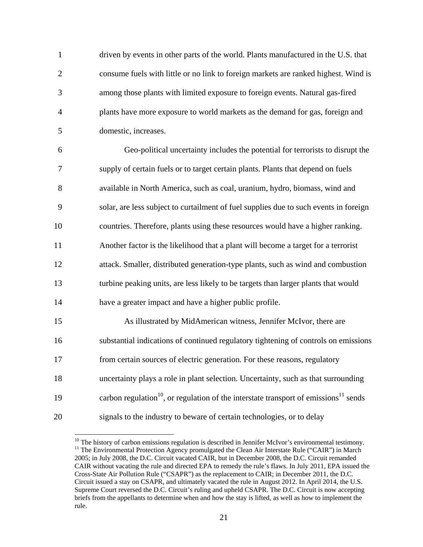1 driven by events in other parts of the world. Plants manufactured in the U.S. that 2 consume fuels with little or no link to foreign markets are ranked highest. Wind is 3 among those plants with limited exposure to foreign events. Natural gas-fired 4 plants have more exposure to world markets as the demand for gas, foreign and 5 domestic, increases.

6 Geo-political uncertainty includes the potential for terrorists to disrupt the 7 supply of certain fuels or to target certain plants. Plants that depend on fuels 8 available in North America, such as coal, uranium, hydro, biomass, wind and 9 solar, are less subject to curtailment of fuel supplies due to such events in foreign 10 countries. Therefore, plants using these resources would have a higher ranking. 11 Another factor is the likelihood that a plant will become a target for a terrorist 12 attack. Smaller, distributed generation-type plants, such as wind and combustion 13 turbine peaking units, are less likely to be targets than larger plants that would 14 have a greater impact and have a higher public profile.

15 As illustrated by MidAmerican witness, Jennifer McIvor, there are 16 substantial indications of continued regulatory tightening of controls on emissions 17 from certain sources of electric generation. For these reasons, regulatory 18 uncertainty plays a role in plant selection. Uncertainty, such as that surrounding 19 carbon regulation<sup>10</sup>, or regulation of the interstate transport of emissions<sup>11</sup> sends 20 signals to the industry to beware of certain technologies, or to delay

 $10$  The history of carbon emissions regulation is described in Jennifer McIvor's environmental testimony. <sup>11</sup> The Environmental Protection Agency promulgated the Clean Air Interstate Rule ("CAIR") in March 2005; in July 2008, the D.C. Circuit vacated CAIR, but in December 2008, the D.C. Circuit remanded CAIR without vacating the rule and directed EPA to remedy the rule's flaws. In July 2011, EPA issued the Cross-State Air Pollution Rule ("CSAPR") as the replacement to CAIR; in December 2011, the D.C. Circuit issued a stay on CSAPR, and ultimately vacated the rule in August 2012. In April 2014, the U.S. Supreme Court reversed the D.C. Circuit's ruling and upheld CSAPR. The D.C. Circuit is now accepting briefs from the appellants to determine when and how the stay is lifted, as well as how to implement the rule.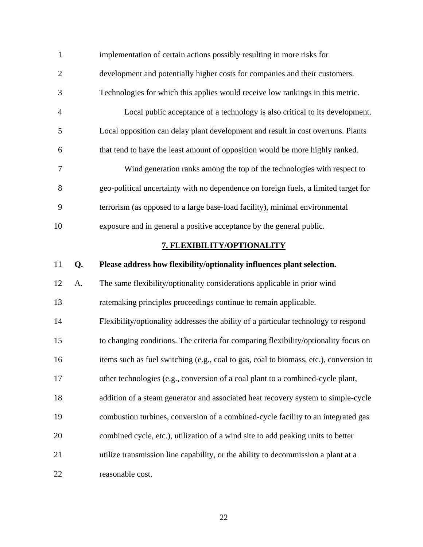| $\mathbf{1}$   |    | implementation of certain actions possibly resulting in more risks for                 |
|----------------|----|----------------------------------------------------------------------------------------|
| $\mathbf{2}$   |    | development and potentially higher costs for companies and their customers.            |
| 3              |    | Technologies for which this applies would receive low rankings in this metric.         |
| $\overline{4}$ |    | Local public acceptance of a technology is also critical to its development.           |
| 5              |    | Local opposition can delay plant development and result in cost overruns. Plants       |
| 6              |    | that tend to have the least amount of opposition would be more highly ranked.          |
| 7              |    | Wind generation ranks among the top of the technologies with respect to                |
| 8              |    | geo-political uncertainty with no dependence on foreign fuels, a limited target for    |
| 9              |    | terrorism (as opposed to a large base-load facility), minimal environmental            |
| 10             |    | exposure and in general a positive acceptance by the general public.                   |
|                |    | 7. FLEXIBILITY/OPTIONALITY                                                             |
| 11             | Q. | Please address how flexibility/optionality influences plant selection.                 |
| 12             | A. | The same flexibility/optionality considerations applicable in prior wind               |
| 13             |    | ratemaking principles proceedings continue to remain applicable.                       |
| 14             |    | Flexibility/optionality addresses the ability of a particular technology to respond    |
| 15             |    | to changing conditions. The criteria for comparing flexibility/optionality focus on    |
| 16             |    | items such as fuel switching (e.g., coal to gas, coal to biomass, etc.), conversion to |
| $17\,$         |    | other technologies (e.g., conversion of a coal plant to a combined-cycle plant,        |
| 18             |    | addition of a steam generator and associated heat recovery system to simple-cycle      |
| 19             |    | combustion turbines, conversion of a combined-cycle facility to an integrated gas      |
| 20             |    | combined cycle, etc.), utilization of a wind site to add peaking units to better       |
| 21             |    | utilize transmission line capability, or the ability to decommission a plant at a      |
| 22             |    | reasonable cost.                                                                       |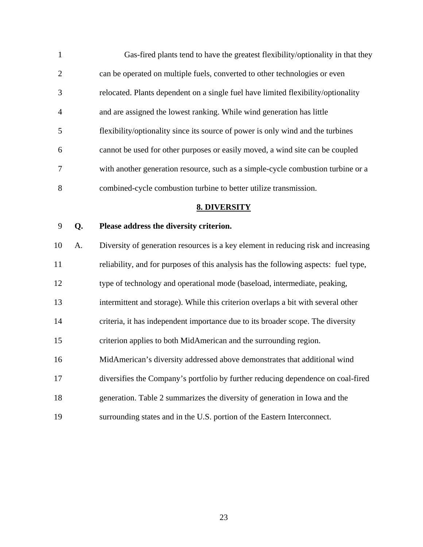1 Gas-fired plants tend to have the greatest flexibility/optionality in that they 2 can be operated on multiple fuels, converted to other technologies or even 3 relocated. Plants dependent on a single fuel have limited flexibility/optionality 4 and are assigned the lowest ranking. While wind generation has little 5 flexibility/optionality since its source of power is only wind and the turbines 6 cannot be used for other purposes or easily moved, a wind site can be coupled 7 with another generation resource, such as a simple-cycle combustion turbine or a 8 combined-cycle combustion turbine to better utilize transmission.

#### **8. DIVERSITY**

#### 9 **Q. Please address the diversity criterion.**

10 A. Diversity of generation resources is a key element in reducing risk and increasing 11 reliability, and for purposes of this analysis has the following aspects: fuel type, 12 type of technology and operational mode (baseload, intermediate, peaking, 13 intermittent and storage). While this criterion overlaps a bit with several other 14 criteria, it has independent importance due to its broader scope. The diversity 15 criterion applies to both MidAmerican and the surrounding region. 16 MidAmerican's diversity addressed above demonstrates that additional wind 17 diversifies the Company's portfolio by further reducing dependence on coal-fired 18 generation. Table 2 summarizes the diversity of generation in Iowa and the

19 surrounding states and in the U.S. portion of the Eastern Interconnect.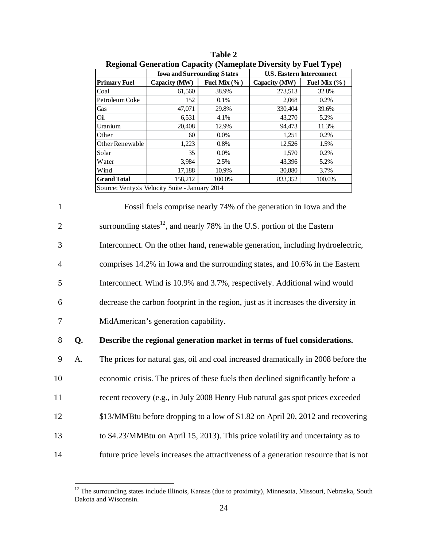| $\cdots$            |                                                |                  | $\frac{1}{2}$ capacity $\frac{1}{2}$ and $\frac{1}{2}$ are $\frac{1}{2}$ of $\frac{1}{2}$ |                  |
|---------------------|------------------------------------------------|------------------|-------------------------------------------------------------------------------------------|------------------|
|                     | <b>Iowa and Surrounding States</b>             |                  | <b>U.S. Eastern Interconnect</b>                                                          |                  |
| <b>Primary Fuel</b> | Capacity (MW)                                  | Fuel Mix $(\%$ ) | Capacity (MW)                                                                             | Fuel Mix $(\%$ ) |
| Coal                | 61,560                                         | 38.9%            | 273,513                                                                                   | 32.8%            |
| Petroleum Coke      | 152                                            | 0.1%             | 2,068                                                                                     | 0.2%             |
| Gas                 | 47,071                                         | 29.8%            | 330,404                                                                                   | 39.6%            |
| Oil                 | 6,531                                          | 4.1%             | 43,270                                                                                    | 5.2%             |
| Uranium             | 20,408                                         | 12.9%            | 94.473                                                                                    | 11.3%            |
| Other               | 60                                             | $0.0\%$          | 1,251                                                                                     | 0.2%             |
| Other Renewable     | 1,223                                          | 0.8%             | 12,526                                                                                    | 1.5%             |
| Solar               | 35                                             | $0.0\%$          | 1,570                                                                                     | 0.2%             |
| Water               | 3,984                                          | 2.5%             | 43,396                                                                                    | 5.2%             |
| Wind                | 17,188                                         | 10.9%            | 30,880                                                                                    | 3.7%             |
| <b>Grand Total</b>  | 158,212                                        | 100.0%           | 833,352                                                                                   | 100.0%           |
|                     | Source: Ventyx's Velocity Suite - January 2014 |                  |                                                                                           |                  |

**Table 2 Regional Generation Capacity (Nameplate Diversity by Fuel Type)** 

1 Fossil fuels comprise nearly 74% of the generation in Iowa and the 2 surrounding states<sup>12</sup>, and nearly 78% in the U.S. portion of the Eastern 3 Interconnect. On the other hand, renewable generation, including hydroelectric, 4 comprises 14.2% in Iowa and the surrounding states, and 10.6% in the Eastern 5 Interconnect. Wind is 10.9% and 3.7%, respectively. Additional wind would 6 decrease the carbon footprint in the region, just as it increases the diversity in 7 MidAmerican's generation capability.

#### 8 **Q. Describe the regional generation market in terms of fuel considerations.**

9 A. The prices for natural gas, oil and coal increased dramatically in 2008 before the 10 economic crisis. The prices of these fuels then declined significantly before a 11 recent recovery (e.g., in July 2008 Henry Hub natural gas spot prices exceeded 12 \$13/MMBtu before dropping to a low of \$1.82 on April 20, 2012 and recovering 13 to \$4.23/MMBtu on April 15, 2013). This price volatility and uncertainty as to 14 future price levels increases the attractiveness of a generation resource that is not

<u>.</u>

 $12$  The surrounding states include Illinois, Kansas (due to proximity), Minnesota, Missouri, Nebraska, South Dakota and Wisconsin.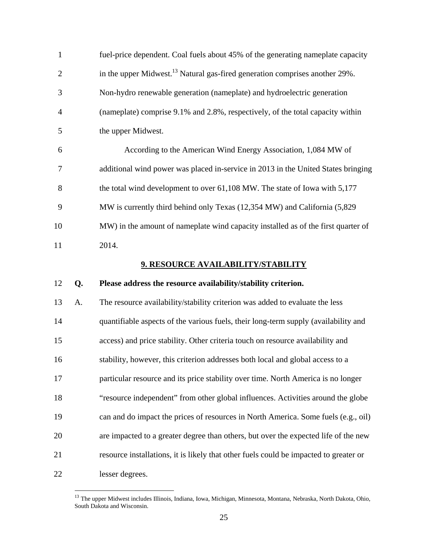| $\mathbf{1}$   |    | fuel-price dependent. Coal fuels about 45% of the generating nameplate capacity         |
|----------------|----|-----------------------------------------------------------------------------------------|
| $\overline{2}$ |    | in the upper Midwest. <sup>13</sup> Natural gas-fired generation comprises another 29%. |
| 3              |    | Non-hydro renewable generation (nameplate) and hydroelectric generation                 |
| $\overline{4}$ |    | (nameplate) comprise 9.1% and 2.8%, respectively, of the total capacity within          |
| 5              |    | the upper Midwest.                                                                      |
| 6              |    | According to the American Wind Energy Association, 1,084 MW of                          |
| 7              |    | additional wind power was placed in-service in 2013 in the United States bringing       |
| 8              |    | the total wind development to over 61,108 MW. The state of Iowa with 5,177              |
| 9              |    | MW is currently third behind only Texas (12,354 MW) and California (5,829               |
| 10             |    | MW) in the amount of nameplate wind capacity installed as of the first quarter of       |
| 11             |    | 2014.                                                                                   |
|                |    | 9. RESOURCE AVAILABILITY/STABILITY                                                      |
| 12             | Q. | Please address the resource availability/stability criterion.                           |
| 13             |    |                                                                                         |
|                | A. | The resource availability/stability criterion was added to evaluate the less            |
| 14             |    | quantifiable aspects of the various fuels, their long-term supply (availability and     |
| 15             |    | access) and price stability. Other criteria touch on resource availability and          |
| 16             |    | stability, however, this criterion addresses both local and global access to a          |
| 17             |    | particular resource and its price stability over time. North America is no longer       |
| 18             |    | "resource independent" from other global influences. Activities around the globe        |
| 19             |    | can and do impact the prices of resources in North America. Some fuels (e.g., oil)      |
| 20             |    | are impacted to a greater degree than others, but over the expected life of the new     |
| 21             |    | resource installations, it is likely that other fuels could be impacted to greater or   |

<sup>&</sup>lt;sup>13</sup> The upper Midwest includes Illinois, Indiana, Iowa, Michigan, Minnesota, Montana, Nebraska, North Dakota, Ohio, South Dakota and Wisconsin.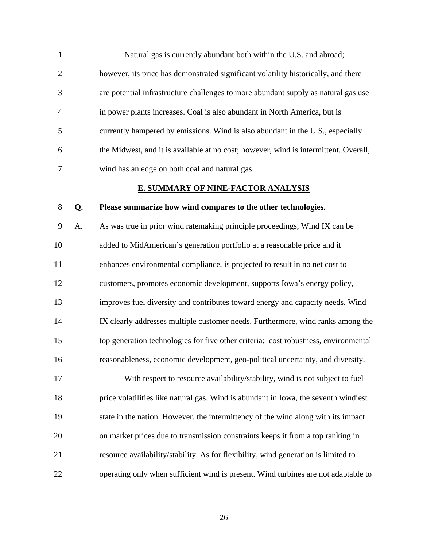| $\mathbf{1}$   | Natural gas is currently abundant both within the U.S. and abroad;                   |
|----------------|--------------------------------------------------------------------------------------|
| 2              | however, its price has demonstrated significant volatility historically, and there   |
| 3              | are potential infrastructure challenges to more abundant supply as natural gas use   |
| $\overline{4}$ | in power plants increases. Coal is also abundant in North America, but is            |
| 5              | currently hampered by emissions. Wind is also abundant in the U.S., especially       |
| 6              | the Midwest, and it is available at no cost; however, wind is intermittent. Overall, |
| 7              | wind has an edge on both coal and natural gas.                                       |

#### **E. SUMMARY OF NINE-FACTOR ANALYSIS**

#### 8 **Q. Please summarize how wind compares to the other technologies.**

9 A. As was true in prior wind ratemaking principle proceedings, Wind IX can be 10 added to MidAmerican's generation portfolio at a reasonable price and it 11 enhances environmental compliance, is projected to result in no net cost to 12 customers, promotes economic development, supports Iowa's energy policy, 13 improves fuel diversity and contributes toward energy and capacity needs. Wind 14 IX clearly addresses multiple customer needs. Furthermore, wind ranks among the 15 top generation technologies for five other criteria: cost robustness, environmental 16 reasonableness, economic development, geo-political uncertainty, and diversity.

17 With respect to resource availability/stability, wind is not subject to fuel 18 price volatilities like natural gas. Wind is abundant in Iowa, the seventh windiest 19 state in the nation. However, the intermittency of the wind along with its impact 20 on market prices due to transmission constraints keeps it from a top ranking in 21 resource availability/stability. As for flexibility, wind generation is limited to 22 operating only when sufficient wind is present. Wind turbines are not adaptable to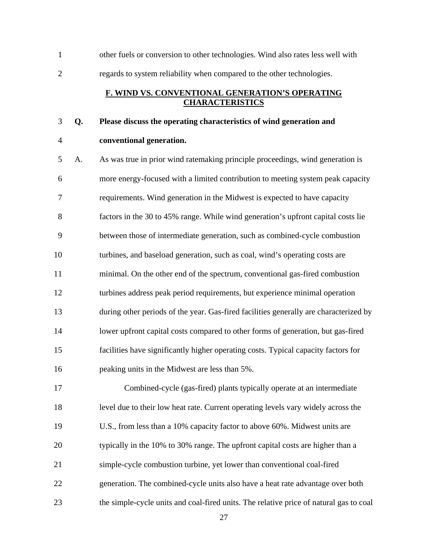1 other fuels or conversion to other technologies. Wind also rates less well with 2 regards to system reliability when compared to the other technologies.

#### **F. WIND VS. CONVENTIONAL GENERATION'S OPERATING CHARACTERISTICS**

#### 3 **Q. Please discuss the operating characteristics of wind generation and**

#### 4 **conventional generation.**

5 A. As was true in prior wind ratemaking principle proceedings, wind generation is 6 more energy-focused with a limited contribution to meeting system peak capacity 7 requirements. Wind generation in the Midwest is expected to have capacity 8 factors in the 30 to 45% range. While wind generation's upfront capital costs lie 9 between those of intermediate generation, such as combined-cycle combustion 10 turbines, and baseload generation, such as coal, wind's operating costs are 11 minimal. On the other end of the spectrum, conventional gas-fired combustion 12 turbines address peak period requirements, but experience minimal operation 13 during other periods of the year. Gas-fired facilities generally are characterized by 14 lower upfront capital costs compared to other forms of generation, but gas-fired 15 facilities have significantly higher operating costs. Typical capacity factors for 16 peaking units in the Midwest are less than 5%.

17 Combined-cycle (gas-fired) plants typically operate at an intermediate 18 level due to their low heat rate. Current operating levels vary widely across the 19 U.S., from less than a 10% capacity factor to above 60%. Midwest units are 20 typically in the 10% to 30% range. The upfront capital costs are higher than a 21 simple-cycle combustion turbine, yet lower than conventional coal-fired 22 generation. The combined-cycle units also have a heat rate advantage over both 23 the simple-cycle units and coal-fired units. The relative price of natural gas to coal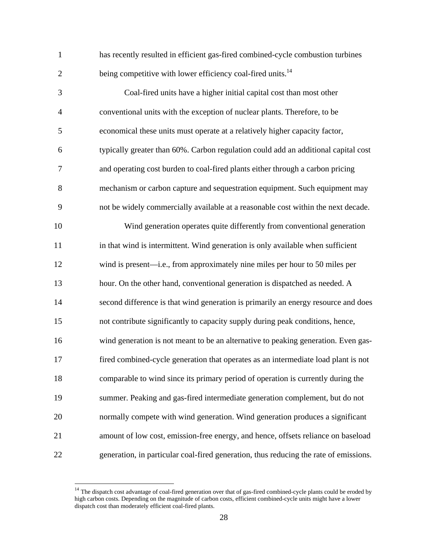1 has recently resulted in efficient gas-fired combined-cycle combustion turbines 2 being competitive with lower efficiency coal-fired units.<sup>14</sup>

3 Coal-fired units have a higher initial capital cost than most other 4 conventional units with the exception of nuclear plants. Therefore, to be 5 economical these units must operate at a relatively higher capacity factor, 6 typically greater than 60%. Carbon regulation could add an additional capital cost 7 and operating cost burden to coal-fired plants either through a carbon pricing 8 mechanism or carbon capture and sequestration equipment. Such equipment may 9 not be widely commercially available at a reasonable cost within the next decade. 10 Wind generation operates quite differently from conventional generation 11 in that wind is intermittent. Wind generation is only available when sufficient 12 wind is present—i.e., from approximately nine miles per hour to 50 miles per 13 hour. On the other hand, conventional generation is dispatched as needed. A 14 second difference is that wind generation is primarily an energy resource and does 15 not contribute significantly to capacity supply during peak conditions, hence, 16 wind generation is not meant to be an alternative to peaking generation. Even gas-17 fired combined-cycle generation that operates as an intermediate load plant is not 18 comparable to wind since its primary period of operation is currently during the 19 summer. Peaking and gas-fired intermediate generation complement, but do not 20 normally compete with wind generation. Wind generation produces a significant 21 amount of low cost, emission-free energy, and hence, offsets reliance on baseload 22 generation, in particular coal-fired generation, thus reducing the rate of emissions.

<sup>&</sup>lt;sup>14</sup> The dispatch cost advantage of coal-fired generation over that of gas-fired combined-cycle plants could be eroded by high carbon costs. Depending on the magnitude of carbon costs, efficient combined-cycle units might have a lower dispatch cost than moderately efficient coal-fired plants.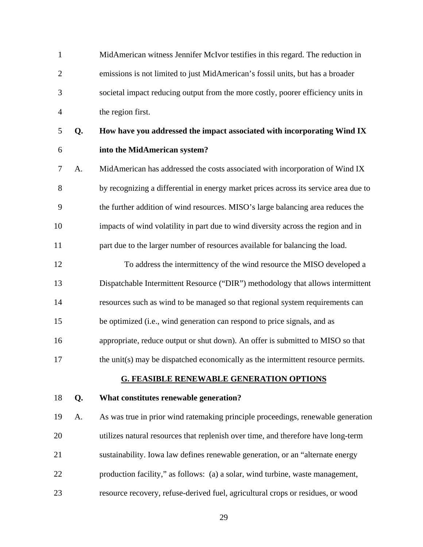1 MidAmerican witness Jennifer McIvor testifies in this regard. The reduction in 2 emissions is not limited to just MidAmerican's fossil units, but has a broader 3 societal impact reducing output from the more costly, poorer efficiency units in 4 the region first.

# 5 **Q. How have you addressed the impact associated with incorporating Wind IX**  6 **into the MidAmerican system?**

7 A. MidAmerican has addressed the costs associated with incorporation of Wind IX 8 by recognizing a differential in energy market prices across its service area due to 9 the further addition of wind resources. MISO's large balancing area reduces the 10 impacts of wind volatility in part due to wind diversity across the region and in 11 part due to the larger number of resources available for balancing the load.

12 To address the intermittency of the wind resource the MISO developed a 13 Dispatchable Intermittent Resource ("DIR") methodology that allows intermittent 14 resources such as wind to be managed so that regional system requirements can 15 be optimized (i.e., wind generation can respond to price signals, and as 16 appropriate, reduce output or shut down). An offer is submitted to MISO so that

#### 17 the unit(s) may be dispatched economically as the intermittent resource permits.

#### **G. FEASIBLE RENEWABLE GENERATION OPTIONS**

#### 18 **Q. What constitutes renewable generation?**

19 A. As was true in prior wind ratemaking principle proceedings, renewable generation 20 utilizes natural resources that replenish over time, and therefore have long-term 21 sustainability. Iowa law defines renewable generation, or an "alternate energy 22 production facility," as follows: (a) a solar, wind turbine, waste management, 23 resource recovery, refuse-derived fuel, agricultural crops or residues, or wood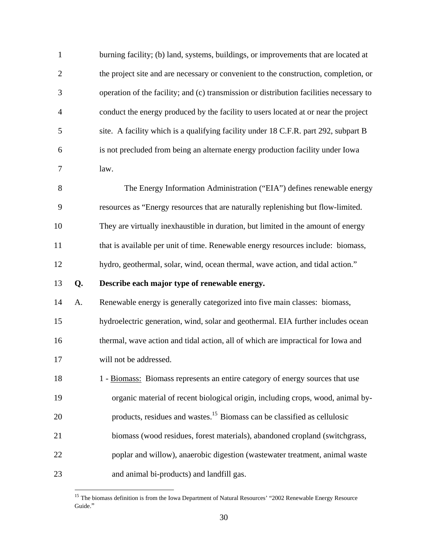| $\mathbf{1}$   |    | burning facility; (b) land, systems, buildings, or improvements that are located at     |
|----------------|----|-----------------------------------------------------------------------------------------|
| $\overline{2}$ |    | the project site and are necessary or convenient to the construction, completion, or    |
| 3              |    | operation of the facility; and (c) transmission or distribution facilities necessary to |
| $\overline{4}$ |    | conduct the energy produced by the facility to users located at or near the project     |
| 5              |    | site. A facility which is a qualifying facility under 18 C.F.R. part 292, subpart B     |
| 6              |    | is not precluded from being an alternate energy production facility under Iowa          |
| $\overline{7}$ |    | law.                                                                                    |
| 8              |    | The Energy Information Administration ("EIA") defines renewable energy                  |
| 9              |    | resources as "Energy resources that are naturally replenishing but flow-limited.        |
| 10             |    | They are virtually inexhaustible in duration, but limited in the amount of energy       |
| 11             |    | that is available per unit of time. Renewable energy resources include: biomass,        |
| 12             |    | hydro, geothermal, solar, wind, ocean thermal, wave action, and tidal action."          |
| 13             | Q. | Describe each major type of renewable energy.                                           |
| 14             | A. | Renewable energy is generally categorized into five main classes: biomass,              |
| 15             |    | hydroelectric generation, wind, solar and geothermal. EIA further includes ocean        |
| 16             |    | thermal, wave action and tidal action, all of which are impractical for Iowa and        |
| 17             |    | will not be addressed.                                                                  |
| 18             |    | 1 - Biomass: Biomass represents an entire category of energy sources that use           |
| 19             |    | organic material of recent biological origin, including crops, wood, animal by-         |
| 20             |    | products, residues and wastes. <sup>15</sup> Biomass can be classified as cellulosic    |
| 21             |    | biomass (wood residues, forest materials), abandoned cropland (switchgrass,             |
| 22             |    | poplar and willow), anaerobic digestion (wastewater treatment, animal waste             |
| 23             |    | and animal bi-products) and landfill gas.                                               |

<sup>&</sup>lt;sup>15</sup> The biomass definition is from the Iowa Department of Natural Resources' "2002 Renewable Energy Resource Guide."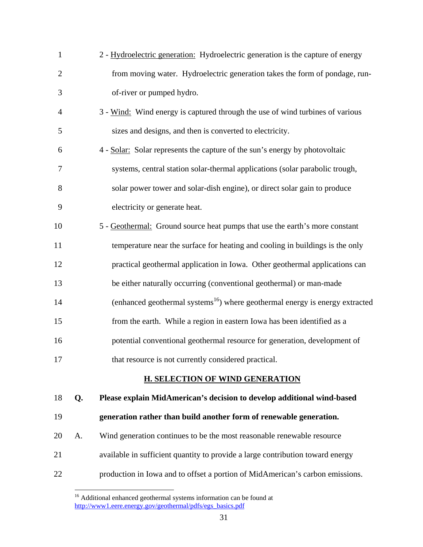| $\mathbf{1}$   |    | 2 - Hydroelectric generation: Hydroelectric generation is the capture of energy          |
|----------------|----|------------------------------------------------------------------------------------------|
| $\overline{c}$ |    | from moving water. Hydroelectric generation takes the form of pondage, run-              |
| 3              |    | of-river or pumped hydro.                                                                |
| 4              |    | 3 - Wind: Wind energy is captured through the use of wind turbines of various            |
| 5              |    | sizes and designs, and then is converted to electricity.                                 |
| 6              |    | 4 - Solar: Solar represents the capture of the sun's energy by photovoltaic              |
| 7              |    | systems, central station solar-thermal applications (solar parabolic trough,             |
| 8              |    | solar power tower and solar-dish engine), or direct solar gain to produce                |
| 9              |    | electricity or generate heat.                                                            |
| 10             |    | 5 - Geothermal: Ground source heat pumps that use the earth's more constant              |
| 11             |    | temperature near the surface for heating and cooling in buildings is the only            |
| 12             |    | practical geothermal application in Iowa. Other geothermal applications can              |
| 13             |    | be either naturally occurring (conventional geothermal) or man-made                      |
| 14             |    | (enhanced geothermal systems <sup>16</sup> ) where geothermal energy is energy extracted |
| 15             |    | from the earth. While a region in eastern Iowa has been identified as a                  |
| 16             |    | potential conventional geothermal resource for generation, development of                |
| 17             |    | that resource is not currently considered practical.                                     |
|                |    | <b>H. SELECTION OF WIND GENERATION</b>                                                   |
| 18             | Q. | Please explain MidAmerican's decision to develop additional wind-based                   |
| 19             |    | generation rather than build another form of renewable generation.                       |
|                |    |                                                                                          |

- 20 A. Wind generation continues to be the most reasonable renewable resource
- 21 available in sufficient quantity to provide a large contribution toward energy
- 22 production in Iowa and to offset a portion of MidAmerican's carbon emissions.

<sup>&</sup>lt;sup>16</sup> Additional enhanced geothermal systems information can be found at http://www1.eere.energy.gov/geothermal/pdfs/egs\_basics.pdf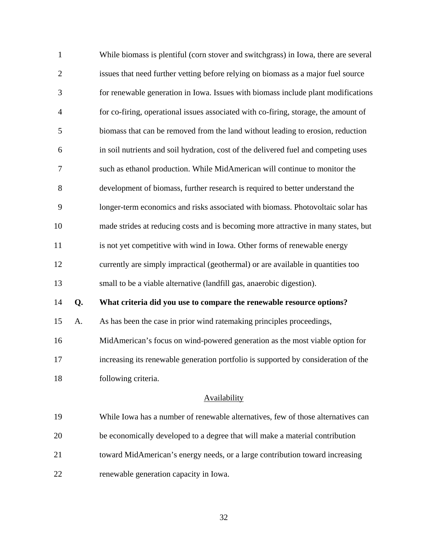| $\mathbf{1}$   |    | While biomass is plentiful (corn stover and switchgrass) in Iowa, there are several |
|----------------|----|-------------------------------------------------------------------------------------|
| $\overline{2}$ |    | issues that need further vetting before relying on biomass as a major fuel source   |
| 3              |    | for renewable generation in Iowa. Issues with biomass include plant modifications   |
| $\overline{4}$ |    | for co-firing, operational issues associated with co-firing, storage, the amount of |
| 5              |    | biomass that can be removed from the land without leading to erosion, reduction     |
| 6              |    | in soil nutrients and soil hydration, cost of the delivered fuel and competing uses |
| 7              |    | such as ethanol production. While MidAmerican will continue to monitor the          |
| 8              |    | development of biomass, further research is required to better understand the       |
| 9              |    | longer-term economics and risks associated with biomass. Photovoltaic solar has     |
| 10             |    | made strides at reducing costs and is becoming more attractive in many states, but  |
| 11             |    | is not yet competitive with wind in Iowa. Other forms of renewable energy           |
| 12             |    | currently are simply impractical (geothermal) or are available in quantities too    |
| 13             |    | small to be a viable alternative (landfill gas, anaerobic digestion).               |
| 14             | Q. | What criteria did you use to compare the renewable resource options?                |
| 15             | A. | As has been the case in prior wind ratemaking principles proceedings,               |
| 16             |    | MidAmerican's focus on wind-powered generation as the most viable option for        |
| 17             |    | increasing its renewable generation portfolio is supported by consideration of the  |
| 18             |    | following criteria.                                                                 |
|                |    |                                                                                     |

#### **Availability**

19 While Iowa has a number of renewable alternatives, few of those alternatives can 20 be economically developed to a degree that will make a material contribution 21 toward MidAmerican's energy needs, or a large contribution toward increasing 22 renewable generation capacity in Iowa.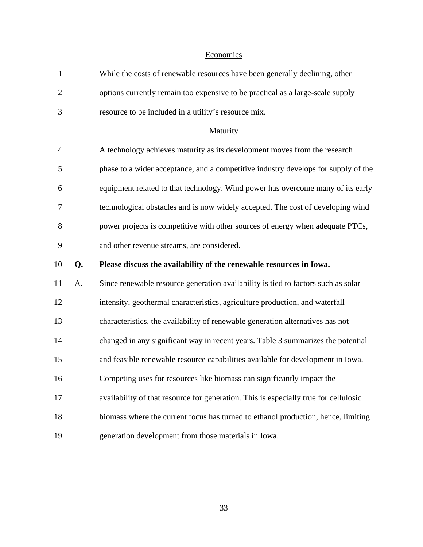#### **Economics**

| $\mathbf{1}$   |    | While the costs of renewable resources have been generally declining, other          |
|----------------|----|--------------------------------------------------------------------------------------|
| $\overline{2}$ |    | options currently remain too expensive to be practical as a large-scale supply       |
| 3              |    | resource to be included in a utility's resource mix.                                 |
|                |    | Maturity                                                                             |
| $\overline{4}$ |    | A technology achieves maturity as its development moves from the research            |
| 5              |    | phase to a wider acceptance, and a competitive industry develops for supply of the   |
| 6              |    | equipment related to that technology. Wind power has overcome many of its early      |
| 7              |    | technological obstacles and is now widely accepted. The cost of developing wind      |
| 8              |    | power projects is competitive with other sources of energy when adequate PTCs,       |
| 9              |    | and other revenue streams, are considered.                                           |
|                |    |                                                                                      |
| 10             | Q. | Please discuss the availability of the renewable resources in Iowa.                  |
| 11             | A. | Since renewable resource generation availability is tied to factors such as solar    |
| 12             |    | intensity, geothermal characteristics, agriculture production, and waterfall         |
| 13             |    | characteristics, the availability of renewable generation alternatives has not       |
| 14             |    | changed in any significant way in recent years. Table 3 summarizes the potential     |
| 15             |    | and feasible renewable resource capabilities available for development in Iowa.      |
| 16             |    | Competing uses for resources like biomass can significantly impact the               |
| 17             |    | availability of that resource for generation. This is especially true for cellulosic |
| 18             |    | biomass where the current focus has turned to ethanol production, hence, limiting    |
| 19             |    | generation development from those materials in Iowa.                                 |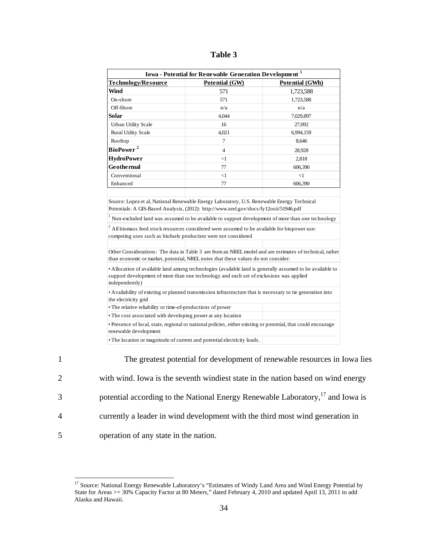|                                                                                                                                                                            | Iowa - Potential for Renewable Generation Development <sup>1</sup>                                                                                                                                  |                        |
|----------------------------------------------------------------------------------------------------------------------------------------------------------------------------|-----------------------------------------------------------------------------------------------------------------------------------------------------------------------------------------------------|------------------------|
| <b>Technology/Resource</b>                                                                                                                                                 | Potential (GW)                                                                                                                                                                                      | <b>Potential (GWh)</b> |
| <b>Wind</b>                                                                                                                                                                | 571                                                                                                                                                                                                 | 1,723,588              |
| On-shore                                                                                                                                                                   | 571                                                                                                                                                                                                 | 1,723,588              |
| Off-Shore                                                                                                                                                                  | n/a                                                                                                                                                                                                 | n/a                    |
| Solar                                                                                                                                                                      | 4,044                                                                                                                                                                                               | 7,029,897              |
| <b>Urban Utility Scale</b>                                                                                                                                                 | 16                                                                                                                                                                                                  | 27,092                 |
| <b>Rural Utility Scale</b>                                                                                                                                                 | 4,021                                                                                                                                                                                               | 6,994,159              |
| Rooftop                                                                                                                                                                    | 7                                                                                                                                                                                                   | 8,646                  |
| BioPower <sup>2</sup>                                                                                                                                                      | $\overline{4}$                                                                                                                                                                                      | 28,928                 |
| <b>HydroPower</b>                                                                                                                                                          | $<$ 1                                                                                                                                                                                               | 2,818                  |
| <b>Geothermal</b>                                                                                                                                                          | 77                                                                                                                                                                                                  | 606,390                |
| Conventional                                                                                                                                                               | <1                                                                                                                                                                                                  | $<$ 1                  |
| Enhanced                                                                                                                                                                   | 77                                                                                                                                                                                                  | 606,390                |
|                                                                                                                                                                            | Potentials: A GIS-Based Analysis, (2012): http://www.nrel.gov/docs/fy12osti/51946.pdf<br>Non-excluded land was assumed to be available to support development of more than one technology           |                        |
|                                                                                                                                                                            | All biomass feed stock resources considered were assumed to be available for biopower use:                                                                                                          |                        |
|                                                                                                                                                                            |                                                                                                                                                                                                     |                        |
| competing uses such as biofuels production were not considered                                                                                                             | Other Considerations: The data in Table 3 are from an NREL model and are estimates of technical, rather<br>than economic or market, potential, NREL notes that these values do not consider:        |                        |
| independently)                                                                                                                                                             | • Allocation of available land among technologies (available land is generally assumed to be available to<br>support development of more than one technology and each set of exclusions was applied |                        |
|                                                                                                                                                                            | • Availability of existing or planned transmission infrastructure that is necessary to tie generation into                                                                                          |                        |
|                                                                                                                                                                            |                                                                                                                                                                                                     |                        |
|                                                                                                                                                                            |                                                                                                                                                                                                     |                        |
| the electricity grid<br>• The relative reliability or time-of-productions of power<br>• The cost associated with developing power at any location<br>renewable development | • Presence of local, state, regional or national policies, either existing or potential, that could encourage                                                                                       |                        |

<sup>1</sup> The greatest potential for development of renewable resources in Iowa lies 2 with wind. Iowa is the seventh windiest state in the nation based on wind energy 3 botential according to the National Energy Renewable Laboratory,<sup>17</sup> and Iowa is 4 currently a leader in wind development with the third most wind generation in 5 operation of any state in the nation.

 $\overline{a}$ <sup>17</sup> Source: National Energy Renewable Laboratory's "Estimates of Windy Land Area and Wind Energy Potential by State for Areas >= 30% Capacity Factor at 80 Meters," dated February 4, 2010 and updated April 13, 2011 to add Alaska and Hawaii.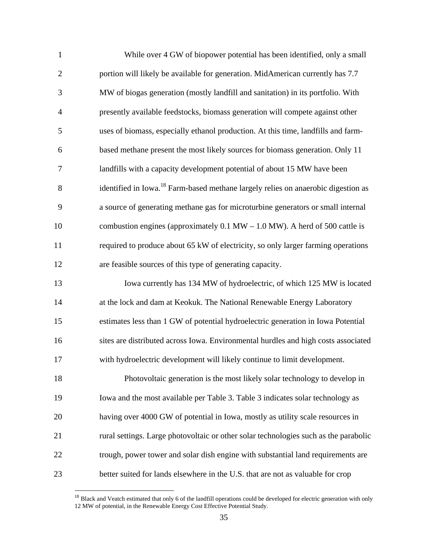| $\mathbf{1}$   | While over 4 GW of biopower potential has been identified, only a small                       |
|----------------|-----------------------------------------------------------------------------------------------|
| $\overline{2}$ | portion will likely be available for generation. MidAmerican currently has 7.7                |
| 3              | MW of biogas generation (mostly landfill and sanitation) in its portfolio. With               |
| $\overline{4}$ | presently available feedstocks, biomass generation will compete against other                 |
| 5              | uses of biomass, especially ethanol production. At this time, landfills and farm-             |
| 6              | based methane present the most likely sources for biomass generation. Only 11                 |
| 7              | landfills with a capacity development potential of about 15 MW have been                      |
| 8              | identified in Iowa. <sup>18</sup> Farm-based methane largely relies on anaerobic digestion as |
| 9              | a source of generating methane gas for microturbine generators or small internal              |
| 10             | combustion engines (approximately $0.1$ MW $- 1.0$ MW). A herd of 500 cattle is               |
| 11             | required to produce about 65 kW of electricity, so only larger farming operations             |
| 12             | are feasible sources of this type of generating capacity.                                     |
| 13             | Iowa currently has 134 MW of hydroelectric, of which 125 MW is located                        |
| 14             | at the lock and dam at Keokuk. The National Renewable Energy Laboratory                       |
| 15             | estimates less than 1 GW of potential hydroelectric generation in Iowa Potential              |
| 16             | sites are distributed across Iowa. Environmental hurdles and high costs associated            |
| 17             | with hydroelectric development will likely continue to limit development.                     |
| 18             | Photovoltaic generation is the most likely solar technology to develop in                     |
| 19             | Iowa and the most available per Table 3. Table 3 indicates solar technology as                |
| 20             | having over 4000 GW of potential in Iowa, mostly as utility scale resources in                |
| 21             | rural settings. Large photovoltaic or other solar technologies such as the parabolic          |
| 22             | trough, power tower and solar dish engine with substantial land requirements are              |
| 23             | better suited for lands elsewhere in the U.S. that are not as valuable for crop               |

 $18$  Black and Veatch estimated that only 6 of the landfill operations could be developed for electric generation with only 12 MW of potential, in the Renewable Energy Cost Effective Potential Study.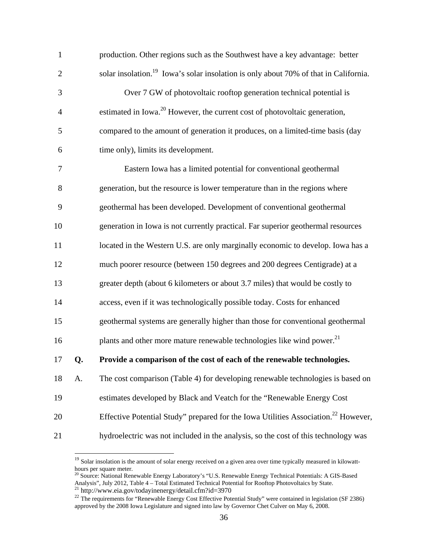| $\mathbf{1}$   |    | production. Other regions such as the Southwest have a key advantage: better                     |
|----------------|----|--------------------------------------------------------------------------------------------------|
| $\overline{c}$ |    | solar insolation. <sup>19</sup> Iowa's solar insolation is only about 70% of that in California. |
| 3              |    | Over 7 GW of photovoltaic rooftop generation technical potential is                              |
| $\overline{4}$ |    | estimated in Iowa. <sup>20</sup> However, the current cost of photovoltaic generation,           |
| 5              |    | compared to the amount of generation it produces, on a limited-time basis (day                   |
| 6              |    | time only), limits its development.                                                              |
| 7              |    | Eastern Iowa has a limited potential for conventional geothermal                                 |
| 8              |    | generation, but the resource is lower temperature than in the regions where                      |
| 9              |    | geothermal has been developed. Development of conventional geothermal                            |
| 10             |    | generation in Iowa is not currently practical. Far superior geothermal resources                 |
| 11             |    | located in the Western U.S. are only marginally economic to develop. Iowa has a                  |
| 12             |    | much poorer resource (between 150 degrees and 200 degrees Centigrade) at a                       |
| 13             |    | greater depth (about 6 kilometers or about 3.7 miles) that would be costly to                    |
| 14             |    | access, even if it was technologically possible today. Costs for enhanced                        |
| 15             |    | geothermal systems are generally higher than those for conventional geothermal                   |
| 16             |    | plants and other more mature renewable technologies like wind power. <sup>21</sup>               |
| 17             | Q. | Provide a comparison of the cost of each of the renewable technologies.                          |
| 18             | A. | The cost comparison (Table 4) for developing renewable technologies is based on                  |
| 19             |    | estimates developed by Black and Veatch for the "Renewable Energy Cost                           |
| 20             |    | Effective Potential Study" prepared for the Iowa Utilities Association. <sup>22</sup> However,   |
| 21             |    | hydroelectric was not included in the analysis, so the cost of this technology was               |
|                |    |                                                                                                  |

<sup>&</sup>lt;sup>19</sup> Solar insolation is the amount of solar energy received on a given area over time typically measured in kilowatthours per square meter.

<sup>&</sup>lt;sup>20</sup> Source: National Renewable Energy Laboratory's "U.S. Renewable Energy Technical Potentials: A GIS-Based Analysis", July 2012, Table 4 – Total Estimated Technical Potential for Rooftop Photovoltaics by State.<br><sup>21</sup> http://www.eia.gov/todayinenergy/detail.cfm?id=3970

 $^{22}$  The requirements for "Renewable Energy Cost Effective Potential Study" were contained in legislation (SF 2386) approved by the 2008 Iowa Legislature and signed into law by Governor Chet Culver on May 6, 2008.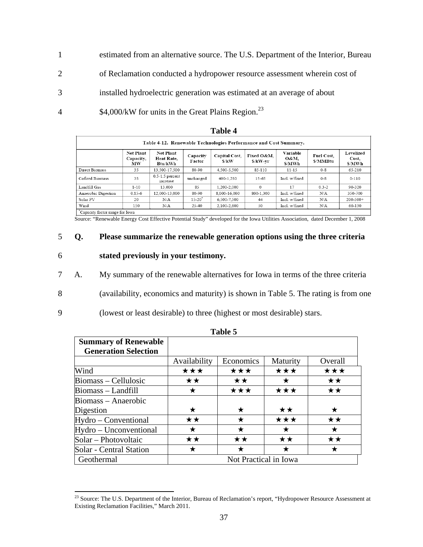- 1 estimated from an alternative source. The U.S. Department of the Interior, Bureau
- 2 of Reclamation conducted a hydropower resource assessment wherein cost of
- 3 installed hydroelectric generation was estimated at an average of about
- 4  $$4,000/kW$  for units in the Great Plains Region.<sup>23</sup>

|                                 |                                     |                                           |                    | 1 adie 4                                                         |                        |                            |                        |                              |
|---------------------------------|-------------------------------------|-------------------------------------------|--------------------|------------------------------------------------------------------|------------------------|----------------------------|------------------------|------------------------------|
|                                 |                                     |                                           |                    | Table 4-12. Renewable Technologies Performance and Cost Summary. |                        |                            |                        |                              |
|                                 | <b>Net Plant</b><br>Capacity,<br>MW | <b>Net Plant</b><br>Heat Rate,<br>Btu/kWh | Capacity<br>Factor | Capital Cost.<br>\$/kW                                           | Fixed O&M.<br>\$/kW-yr | Variable<br>O&M.<br>\$/MWh | Fuel Cost.<br>\$/MMBtu | Levelized<br>Cost.<br>\$/MWh |
| Direct Biomass                  | 35                                  | 13.500-17.500                             | 80-90              | 4.500-5.500                                                      | 85-110                 | $11 - 15$                  | $0 - 8$                | 65-210                       |
| Cofired Biomass                 | 35                                  | $0.5-1.5$ percent<br>increase             | unchanged          | 400-1.250                                                        | 15-65                  | Incl w/fixed               | $0 - 8$                | $0 - 110$                    |
| Landfill Gas                    | $1 - 10$                            | 13.000                                    | 85                 | 1.200-2.000                                                      | $\Omega$               | 17                         | $0.3 - 2$              | 90-320                       |
| Anaerobic Digestion             | $0.15 - 6$                          | 12.000-13.000                             | 80-90              | 8.000-16.000                                                     | 800-1.300              | Incl. w/fixed              | N/A                    | 350-700                      |
| Solar PV                        | 20                                  | N/A                                       | $15 - 20^{\circ}$  | 6.500-7.500                                                      | 44                     | Incl. w/fixed              | N/A                    | $200 - 500 +$                |
| Wind                            | 150                                 | N/A                                       | 25-40              | 2.100-2.600                                                      | 50                     | Incl. w/fixed              | N/A                    | 60-130                       |
| Capacity factor rapes for Iouro |                                     |                                           |                    |                                                                  |                        |                            |                        |                              |

| anı<br>k<br>71 |  |
|----------------|--|
|----------------|--|

 $\overline{a}$ 

Capacity factor range for Iowa<br>Source: "Renewable Energy Cost Effective Potential Study" developed for the Iowa Utilities Association, dated December 1, 2008

#### 5 **Q. Please summarize the renewable generation options using the three criteria**

- 6 **stated previously in your testimony.**
- 7 A. My summary of the renewable alternatives for Iowa in terms of the three criteria
- 8 (availability, economics and maturity) is shown in Table 5. The rating is from one
- 9 (lowest or least desirable) to three (highest or most desirable) stars.

|                                                            |                       | 1 UNIV V  |          |              |  |
|------------------------------------------------------------|-----------------------|-----------|----------|--------------|--|
| <b>Summary of Renewable</b><br><b>Generation Selection</b> |                       |           |          |              |  |
|                                                            | Availability          | Economics | Maturity | Overall      |  |
| Wind                                                       | ★★★                   | ★★★       | ★★★      | ★★★          |  |
| Biomass - Cellulosic                                       | ★★                    | ★★        | ★        | ★★           |  |
| Biomass - Landfill                                         | ★                     | ★★★       | ★★★      | $\star\star$ |  |
| Biomass – Anaerobic                                        |                       |           |          |              |  |
| Digestion                                                  | ★                     | ★         | ★★       | ★            |  |
| Hydro - Conventional                                       | ★★                    | ★         | ★★★      | ★★           |  |
| Hydro - Unconventional                                     | ★                     | ★         | ★        | ★            |  |
| Solar - Photovoltaic                                       | ★★                    | ★★        | ★★       | ★★           |  |
| Solar - Central Station                                    | ★                     | ★         | ★        | ★            |  |
| Geothermal                                                 | Not Practical in Iowa |           |          |              |  |

**Table 5** 

<sup>&</sup>lt;sup>23</sup> Source: The U.S. Department of the Interior, Bureau of Reclamation's report, "Hydropower Resource Assessment at Existing Reclamation Facilities," March 2011.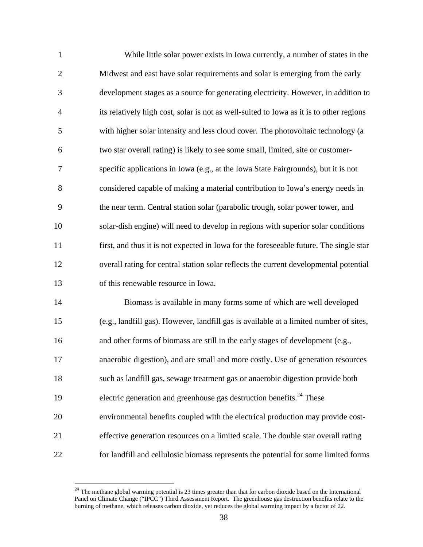| $\mathbf{1}$   | While little solar power exists in Iowa currently, a number of states in the            |
|----------------|-----------------------------------------------------------------------------------------|
| $\overline{2}$ | Midwest and east have solar requirements and solar is emerging from the early           |
| 3              | development stages as a source for generating electricity. However, in addition to      |
| $\overline{4}$ | its relatively high cost, solar is not as well-suited to Iowa as it is to other regions |
| 5              | with higher solar intensity and less cloud cover. The photovoltaic technology (a        |
| 6              | two star overall rating) is likely to see some small, limited, site or customer-        |
| 7              | specific applications in Iowa (e.g., at the Iowa State Fairgrounds), but it is not      |
| 8              | considered capable of making a material contribution to Iowa's energy needs in          |
| 9              | the near term. Central station solar (parabolic trough, solar power tower, and          |
| 10             | solar-dish engine) will need to develop in regions with superior solar conditions       |
| 11             | first, and thus it is not expected in Iowa for the foreseeable future. The single star  |
| 12             | overall rating for central station solar reflects the current developmental potential   |
| 13             | of this renewable resource in Iowa.                                                     |
| 14             | Biomass is available in many forms some of which are well developed                     |
| 15             | (e.g., landfill gas). However, landfill gas is available at a limited number of sites,  |
| 16             | and other forms of biomass are still in the early stages of development (e.g.,          |
| 17             | anaerobic digestion), and are small and more costly. Use of generation resources        |
| 18             | such as landfill gas, sewage treatment gas or anaerobic digestion provide both          |
| 19             | electric generation and greenhouse gas destruction benefits. <sup>24</sup> These        |
| 20             | environmental benefits coupled with the electrical production may provide cost-         |
| 21             | effective generation resources on a limited scale. The double star overall rating       |
| 22             | for landfill and cellulosic biomass represents the potential for some limited forms     |

 $24$  The methane global warming potential is 23 times greater than that for carbon dioxide based on the International Panel on Climate Change ("IPCC") Third Assessment Report. The greenhouse gas destruction benefits relate to the burning of methane, which releases carbon dioxide, yet reduces the global warming impact by a factor of 22.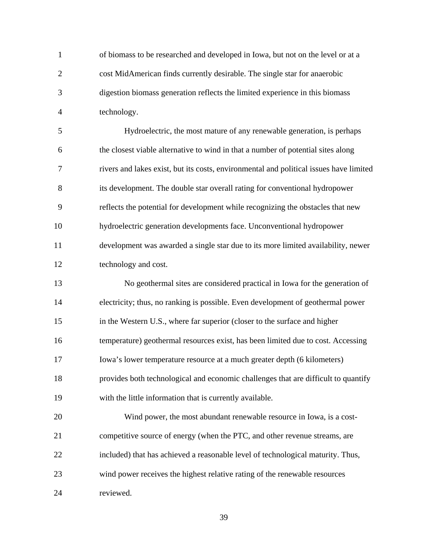1 of biomass to be researched and developed in Iowa, but not on the level or at a 2 cost MidAmerican finds currently desirable. The single star for anaerobic 3 digestion biomass generation reflects the limited experience in this biomass 4 technology.

5 Hydroelectric, the most mature of any renewable generation, is perhaps 6 the closest viable alternative to wind in that a number of potential sites along 7 rivers and lakes exist, but its costs, environmental and political issues have limited 8 its development. The double star overall rating for conventional hydropower 9 reflects the potential for development while recognizing the obstacles that new 10 hydroelectric generation developments face. Unconventional hydropower 11 development was awarded a single star due to its more limited availability, newer 12 technology and cost.

13 No geothermal sites are considered practical in Iowa for the generation of 14 electricity; thus, no ranking is possible. Even development of geothermal power 15 in the Western U.S., where far superior (closer to the surface and higher 16 temperature) geothermal resources exist, has been limited due to cost. Accessing 17 Iowa's lower temperature resource at a much greater depth (6 kilometers) 18 provides both technological and economic challenges that are difficult to quantify 19 with the little information that is currently available.

20 Wind power, the most abundant renewable resource in Iowa, is a cost-21 competitive source of energy (when the PTC, and other revenue streams, are 22 included) that has achieved a reasonable level of technological maturity. Thus, 23 wind power receives the highest relative rating of the renewable resources 24 reviewed.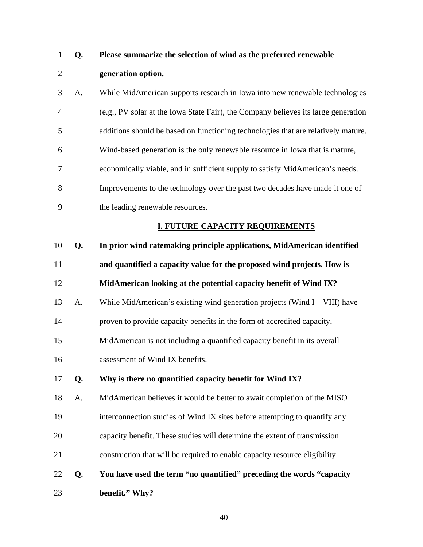# 1 **Q. Please summarize the selection of wind as the preferred renewable**  2 **generation option.**

3 A. While MidAmerican supports research in Iowa into new renewable technologies 4 (e.g., PV solar at the Iowa State Fair), the Company believes its large generation 5 additions should be based on functioning technologies that are relatively mature. 6 Wind-based generation is the only renewable resource in Iowa that is mature, 7 economically viable, and in sufficient supply to satisfy MidAmerican's needs. 8 Improvements to the technology over the past two decades have made it one of 9 the leading renewable resources.

#### **I. FUTURE CAPACITY REQUIREMENTS**

| 10 | Q. | In prior wind ratemaking principle applications, MidAmerican identified       |
|----|----|-------------------------------------------------------------------------------|
| 11 |    | and quantified a capacity value for the proposed wind projects. How is        |
| 12 |    | MidAmerican looking at the potential capacity benefit of Wind IX?             |
| 13 | A. | While MidAmerican's existing wind generation projects (Wind $I - VIII$ ) have |
| 14 |    | proven to provide capacity benefits in the form of accredited capacity,       |
| 15 |    | MidAmerican is not including a quantified capacity benefit in its overall     |
| 16 |    | assessment of Wind IX benefits.                                               |
| 17 | Q. | Why is there no quantified capacity benefit for Wind IX?                      |
| 18 | A. | MidAmerican believes it would be better to await completion of the MISO       |
| 19 |    | interconnection studies of Wind IX sites before attempting to quantify any    |

- 20 capacity benefit. These studies will determine the extent of transmission
- 21 construction that will be required to enable capacity resource eligibility.

# 22 **Q. You have used the term "no quantified" preceding the words "capacity**  23 **benefit." Why?**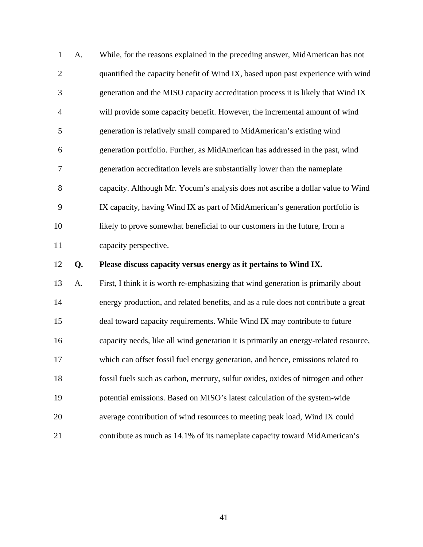| $\mathbf{1}$   | A. | While, for the reasons explained in the preceding answer, MidAmerican has not        |
|----------------|----|--------------------------------------------------------------------------------------|
| $\overline{2}$ |    | quantified the capacity benefit of Wind IX, based upon past experience with wind     |
| 3              |    | generation and the MISO capacity accreditation process it is likely that Wind IX     |
| $\overline{4}$ |    | will provide some capacity benefit. However, the incremental amount of wind          |
| 5              |    | generation is relatively small compared to MidAmerican's existing wind               |
| 6              |    | generation portfolio. Further, as MidAmerican has addressed in the past, wind        |
| $\overline{7}$ |    | generation accreditation levels are substantially lower than the nameplate           |
| 8              |    | capacity. Although Mr. Yocum's analysis does not ascribe a dollar value to Wind      |
| 9              |    | IX capacity, having Wind IX as part of MidAmerican's generation portfolio is         |
| 10             |    | likely to prove somewhat beneficial to our customers in the future, from a           |
|                |    |                                                                                      |
| 11             |    | capacity perspective.                                                                |
| 12             | Q. | Please discuss capacity versus energy as it pertains to Wind IX.                     |
| 13             | A. | First, I think it is worth re-emphasizing that wind generation is primarily about    |
| 14             |    | energy production, and related benefits, and as a rule does not contribute a great   |
| 15             |    | deal toward capacity requirements. While Wind IX may contribute to future            |
| 16             |    | capacity needs, like all wind generation it is primarily an energy-related resource, |
| 17             |    | which can offset fossil fuel energy generation, and hence, emissions related to      |
| 18             |    | fossil fuels such as carbon, mercury, sulfur oxides, oxides of nitrogen and other    |
| 19             |    | potential emissions. Based on MISO's latest calculation of the system-wide           |

21 contribute as much as 14.1% of its nameplate capacity toward MidAmerican's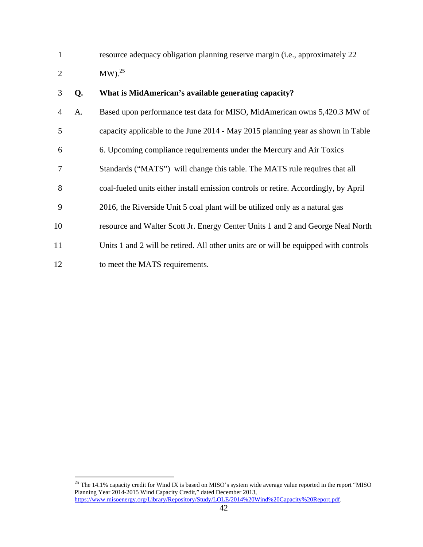1 resource adequacy obligation planning reserve margin (i.e., approximately 22 2 MW).<sup>25</sup>

#### 3 **Q. What is MidAmerican's available generating capacity?**

| $\overline{4}$ | A. | Based upon performance test data for MISO, MidAmerican owns 5,420.3 MW of            |
|----------------|----|--------------------------------------------------------------------------------------|
| 5              |    | capacity applicable to the June 2014 - May 2015 planning year as shown in Table      |
| 6              |    | 6. Upcoming compliance requirements under the Mercury and Air Toxics                 |
| 7              |    | Standards ("MATS") will change this table. The MATS rule requires that all           |
| 8              |    | coal-fueled units either install emission controls or retire. Accordingly, by April  |
| 9              |    | 2016, the Riverside Unit 5 coal plant will be utilized only as a natural gas         |
| 10             |    | resource and Walter Scott Jr. Energy Center Units 1 and 2 and George Neal North      |
| 11             |    | Units 1 and 2 will be retired. All other units are or will be equipped with controls |
| 12             |    | to meet the MATS requirements.                                                       |

<sup>&</sup>lt;sup>25</sup> The 14.1% capacity credit for Wind IX is based on MISO's system wide average value reported in the report "MISO Planning Year 2014-2015 Wind Capacity Credit," dated December 2013, https://www.misoenergy.org/Library/Repository/Study/LOLE/2014%20Wind%20Capacity%20Report.pdf.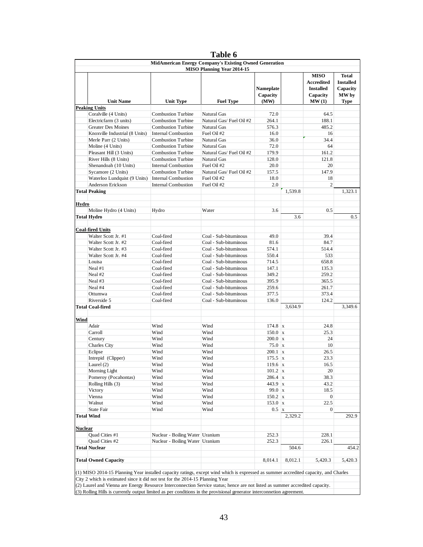|         |                                                                                                                                      |                                 | Table 6                                                |                                 |         |                                                                  |                                                       |
|---------|--------------------------------------------------------------------------------------------------------------------------------------|---------------------------------|--------------------------------------------------------|---------------------------------|---------|------------------------------------------------------------------|-------------------------------------------------------|
|         |                                                                                                                                      |                                 | MidAmerican Energy Company's Existing Owned Generation |                                 |         |                                                                  |                                                       |
|         |                                                                                                                                      |                                 | <b>MISO Planning Year 2014-15</b>                      | Nameplate<br>Capacity           |         | <b>MISO</b><br><b>Accredited</b><br><b>Installed</b><br>Capacity | <b>Total</b><br><b>Installed</b><br>Capacity<br>MW by |
|         | <b>Unit Name</b>                                                                                                                     | <b>Unit Type</b>                | <b>Fuel Type</b>                                       | (MW)                            |         | MW(1)                                                            | Type                                                  |
|         | Peaking Units<br>Coralville (4 Units)                                                                                                | <b>Combustion Turbine</b>       | Natural Gas                                            | 72.0                            |         | 64.5                                                             |                                                       |
|         | Electricfarm (3 units)                                                                                                               | <b>Combustion Turbine</b>       | Natural Gas/Fuel Oil #2                                | 264.1                           |         | 188.1                                                            |                                                       |
|         | <b>Greater Des Moines</b>                                                                                                            | Combustion Turbine              | Natural Gas                                            | 576.3                           |         | 485.2                                                            |                                                       |
|         | Knoxville Industrial (8 Units)                                                                                                       | <b>Internal Combustion</b>      | Fuel Oil #2                                            | 16.0                            |         | 16                                                               |                                                       |
|         | Merle Parr (2 Units)                                                                                                                 | <b>Combustion Turbine</b>       | Natural Gas                                            | 36.0                            |         | 34.4                                                             |                                                       |
|         | Moline (4 Units)                                                                                                                     | <b>Combustion Turbine</b>       | <b>Natural Gas</b>                                     | 72.0                            |         | 64                                                               |                                                       |
|         | Pleasant Hill (3 Units)                                                                                                              | <b>Combustion Turbine</b>       | Natural Gas/Fuel Oil #2                                | 179.9                           |         | 161.2                                                            |                                                       |
|         | River Hills (8 Units)                                                                                                                | <b>Combustion Turbine</b>       | Natural Gas                                            | 128.0                           |         | 121.8                                                            |                                                       |
|         | Shenandoah (10 Units)                                                                                                                | <b>Internal Combustion</b>      | Fuel Oil #2                                            | 20.0                            |         | 20                                                               |                                                       |
|         | Sycamore (2 Units)                                                                                                                   | <b>Combustion Turbine</b>       | Natural Gas/Fuel Oil #2                                | 157.5                           |         | 147.9                                                            |                                                       |
|         | Waterloo Lundquist (9 Units)                                                                                                         | <b>Internal Combustion</b>      | Fuel Oil #2                                            | 18.0                            |         | 18                                                               |                                                       |
|         | Anderson Erickson<br><b>Total Peaking</b>                                                                                            | <b>Internal Combustion</b>      | Fuel Oil #2                                            | 2.0                             | 1,539.8 | $\overline{c}$                                                   | 1,323.1                                               |
|         |                                                                                                                                      |                                 |                                                        |                                 |         |                                                                  |                                                       |
| Hydro   |                                                                                                                                      |                                 |                                                        |                                 |         |                                                                  |                                                       |
|         | Moline Hydro (4 Units)                                                                                                               | Hydro                           | Water                                                  | 3.6                             |         | 0.5                                                              |                                                       |
|         | Total Hydro                                                                                                                          |                                 |                                                        |                                 | 3.6     |                                                                  | 0.5                                                   |
|         | <b>Coal-fired Units</b>                                                                                                              |                                 |                                                        |                                 |         |                                                                  |                                                       |
|         | Walter Scott Jr. #1                                                                                                                  | Coal-fired                      | Coal - Sub-bituminous                                  | 49.0                            |         | 39.4                                                             |                                                       |
|         | Walter Scott Jr. #2                                                                                                                  | Coal-fired                      | Coal - Sub-bituminous                                  | 81.6                            |         | 84.7                                                             |                                                       |
|         | Walter Scott Jr. #3                                                                                                                  | Coal-fired                      | Coal - Sub-bituminous                                  | 574.1                           |         | 514.4                                                            |                                                       |
|         | Walter Scott Jr. #4                                                                                                                  | Coal-fired                      | Coal - Sub-bituminous                                  | 550.4                           |         | 533                                                              |                                                       |
|         | Louisa                                                                                                                               | Coal-fired                      | Coal - Sub-bituminous                                  | 714.5                           |         | 658.8                                                            |                                                       |
|         | Neal #1                                                                                                                              | Coal-fired                      | Coal - Sub-bituminous                                  | 147.1                           |         | 135.3                                                            |                                                       |
|         | Neal #2                                                                                                                              | Coal-fired                      | Coal - Sub-bituminous                                  | 349.2                           |         | 259.2                                                            |                                                       |
|         | Neal #3                                                                                                                              | Coal-fired                      | Coal - Sub-bituminous                                  | 395.9                           |         | 365.5                                                            |                                                       |
|         | Neal #4                                                                                                                              | Coal-fired                      | Coal - Sub-bituminous                                  | 259.6                           |         | 261.7                                                            |                                                       |
|         | Ottumwa<br>Riverside 5                                                                                                               | Coal-fired<br>Coal-fired        | Coal - Sub-bituminous<br>Coal - Sub-bituminous         | 377.5<br>136.0                  |         | 373.4<br>124.2                                                   |                                                       |
|         | Total Coal-fired                                                                                                                     |                                 |                                                        |                                 | 3,634.9 |                                                                  | 3,349.6                                               |
| Wind    |                                                                                                                                      |                                 |                                                        |                                 |         |                                                                  |                                                       |
|         | Adair                                                                                                                                | Wind                            | Wind                                                   | $174.8 \times$                  |         | 24.8                                                             |                                                       |
|         | Carroll                                                                                                                              | Wind                            | Wind                                                   | $150.0 \times$                  |         | 25.3                                                             |                                                       |
|         | Century                                                                                                                              | Wind                            | Wind                                                   | $200.0 \times$                  |         | 24                                                               |                                                       |
|         | Charles City                                                                                                                         | Wind                            | Wind                                                   | $75.0 \text{ x}$                |         | 10                                                               |                                                       |
|         | Eclipse                                                                                                                              | Wind                            | Wind                                                   | $200.1 \times$                  |         | 26.5                                                             |                                                       |
|         | Intrepid (Clipper)                                                                                                                   | Wind                            | Wind                                                   | $175.5 \times$                  |         | 23.3                                                             |                                                       |
|         | Laurel $(2)$                                                                                                                         | Wind                            | Wind                                                   | $119.6 \times$                  |         | 16.5                                                             |                                                       |
|         | Morning Light                                                                                                                        | Wind                            | Wind                                                   | $101.2 \times$                  |         | 20                                                               |                                                       |
|         | Pomeroy (Pocahontas)                                                                                                                 | Wind                            | Wind                                                   | 286.4 x                         |         | 38.3                                                             |                                                       |
|         | Rolling Hills (3)                                                                                                                    | Wind                            | Wind                                                   | 443.9 x                         |         | 43.2                                                             |                                                       |
|         | Victory<br>Vienna                                                                                                                    | Wind<br>Wind                    | Wind<br>Wind                                           | $99.0 \times$<br>$150.2 \times$ |         | 18.5<br>$\overline{0}$                                           |                                                       |
|         | Walnut                                                                                                                               | Wind                            | Wind                                                   | $153.0 \times$                  |         | 22.5                                                             |                                                       |
|         | State Fair                                                                                                                           | Wind                            | Wind                                                   | $0.5 \text{ x}$                 |         | $\overline{0}$                                                   |                                                       |
|         | Total Wind                                                                                                                           |                                 |                                                        |                                 | 2,329.2 |                                                                  | 292.9                                                 |
|         |                                                                                                                                      |                                 |                                                        |                                 |         |                                                                  |                                                       |
| Nuclear |                                                                                                                                      |                                 |                                                        |                                 |         |                                                                  |                                                       |
|         | Quad Cities #1                                                                                                                       | Nuclear - Boiling Water Uranium |                                                        | 252.3                           |         | 228.1                                                            |                                                       |
|         | Quad Cities #2<br><b>Total Nuclear</b>                                                                                               | Nuclear - Boiling Water Uranium |                                                        | 252.3                           | 504.6   | 226.1                                                            | 454.2                                                 |
|         |                                                                                                                                      |                                 |                                                        |                                 |         |                                                                  |                                                       |
|         | <b>Total Owned Capacity</b>                                                                                                          |                                 |                                                        | 8,014.1                         | 8,012.1 | 5,420.3                                                          | 5,420.3                                               |
|         | (1) MISO 2014-15 Planning Year installed capacity ratings, except wind which is expressed as summer accredited capacity, and Charles |                                 |                                                        |                                 |         |                                                                  |                                                       |
|         | City 2 which is estimated since it did not test for the 2014-15 Planning Year                                                        |                                 |                                                        |                                 |         |                                                                  |                                                       |
|         | (2) Laurel and Vienna are Energy Resource Interconnection Service status; hence are not listed as summer accredited capacity.        |                                 |                                                        |                                 |         |                                                                  |                                                       |
|         | (3) Rolling Hills is currently output limited as per conditions in the provisional generator interconnetion agreement.               |                                 |                                                        |                                 |         |                                                                  |                                                       |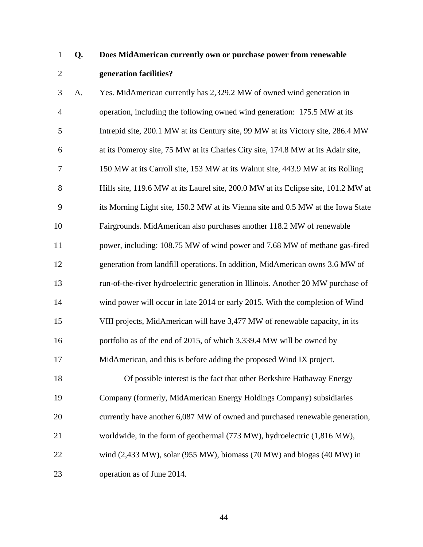## 1 **Q. Does MidAmerican currently own or purchase power from renewable**  2 **generation facilities?**

3 A. Yes. MidAmerican currently has 2,329.2 MW of owned wind generation in 4 operation, including the following owned wind generation: 175.5 MW at its 5 Intrepid site, 200.1 MW at its Century site, 99 MW at its Victory site, 286.4 MW 6 at its Pomeroy site, 75 MW at its Charles City site, 174.8 MW at its Adair site, 7 150 MW at its Carroll site, 153 MW at its Walnut site, 443.9 MW at its Rolling 8 Hills site, 119.6 MW at its Laurel site, 200.0 MW at its Eclipse site, 101.2 MW at 9 its Morning Light site, 150.2 MW at its Vienna site and 0.5 MW at the Iowa State 10 Fairgrounds. MidAmerican also purchases another 118.2 MW of renewable 11 power, including: 108.75 MW of wind power and 7.68 MW of methane gas-fired 12 generation from landfill operations. In addition, MidAmerican owns 3.6 MW of 13 run-of-the-river hydroelectric generation in Illinois. Another 20 MW purchase of 14 wind power will occur in late 2014 or early 2015. With the completion of Wind 15 VIII projects, MidAmerican will have 3,477 MW of renewable capacity, in its 16 portfolio as of the end of 2015, of which 3,339.4 MW will be owned by 17 MidAmerican, and this is before adding the proposed Wind IX project. 18 Of possible interest is the fact that other Berkshire Hathaway Energy 19 Company (formerly, MidAmerican Energy Holdings Company) subsidiaries

20 currently have another 6,087 MW of owned and purchased renewable generation,

- 21 worldwide, in the form of geothermal (773 MW), hydroelectric (1,816 MW),
- 22 wind (2,433 MW), solar (955 MW), biomass (70 MW) and biogas (40 MW) in

23 operation as of June 2014.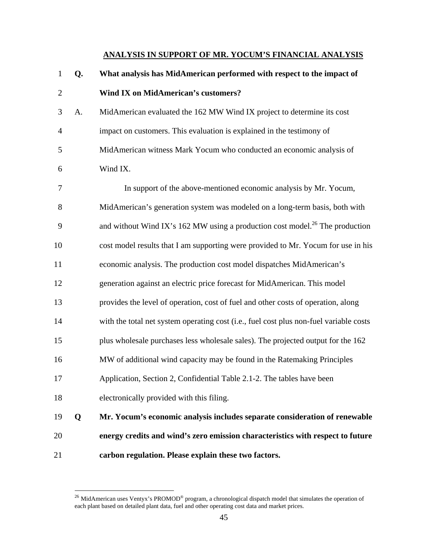#### **ANALYSIS IN SUPPORT OF MR. YOCUM'S FINANCIAL ANALYSIS**

- 1 **Q. What analysis has MidAmerican performed with respect to the impact of**  2 **Wind IX on MidAmerican's customers?**
- 3 A. MidAmerican evaluated the 162 MW Wind IX project to determine its cost 4 impact on customers. This evaluation is explained in the testimony of 5 MidAmerican witness Mark Yocum who conducted an economic analysis of 6 Wind IX.

7 In support of the above-mentioned economic analysis by Mr. Yocum, 8 MidAmerican's generation system was modeled on a long-term basis, both with 9 and without Wind IX's 162 MW using a production cost model.<sup>26</sup> The production 10 cost model results that I am supporting were provided to Mr. Yocum for use in his 11 economic analysis. The production cost model dispatches MidAmerican's 12 generation against an electric price forecast for MidAmerican. This model 13 provides the level of operation, cost of fuel and other costs of operation, along 14 with the total net system operating cost (i.e., fuel cost plus non-fuel variable costs 15 plus wholesale purchases less wholesale sales). The projected output for the 162 16 MW of additional wind capacity may be found in the Ratemaking Principles 17 Application, Section 2, Confidential Table 2.1-2. The tables have been 18 electronically provided with this filing. 19 **Q Mr. Yocum's economic analysis includes separate consideration of renewable**  20 **energy credits and wind's zero emission characteristics with respect to future**  21 **carbon regulation. Please explain these two factors.** 

<sup>&</sup>lt;sup>26</sup> MidAmerican uses Ventyx's PROMOD<sup>®</sup> program, a chronological dispatch model that simulates the operation of each plant based on detailed plant data, fuel and other operating cost data and market prices.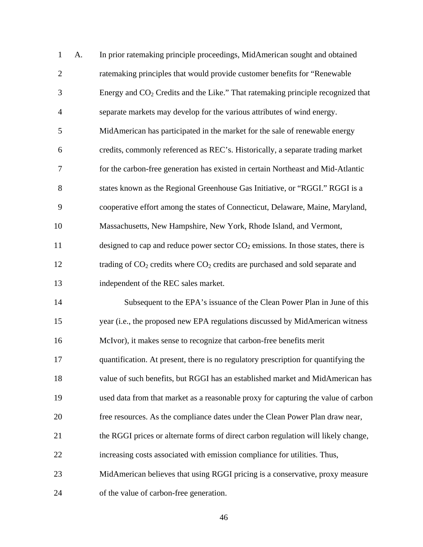| $\mathbf{1}$   | A. | In prior ratemaking principle proceedings, MidAmerican sought and obtained                  |
|----------------|----|---------------------------------------------------------------------------------------------|
| $\overline{2}$ |    | ratemaking principles that would provide customer benefits for "Renewable                   |
| 3              |    | Energy and CO <sub>2</sub> Credits and the Like." That ratemaking principle recognized that |
| $\overline{4}$ |    | separate markets may develop for the various attributes of wind energy.                     |
| 5              |    | MidAmerican has participated in the market for the sale of renewable energy                 |
| 6              |    | credits, commonly referenced as REC's. Historically, a separate trading market              |
| $\overline{7}$ |    | for the carbon-free generation has existed in certain Northeast and Mid-Atlantic            |
| 8              |    | states known as the Regional Greenhouse Gas Initiative, or "RGGI." RGGI is a                |
| 9              |    | cooperative effort among the states of Connecticut, Delaware, Maine, Maryland,              |
| 10             |    | Massachusetts, New Hampshire, New York, Rhode Island, and Vermont,                          |
| 11             |    | designed to cap and reduce power sector $CO2$ emissions. In those states, there is          |
| 12             |    | trading of $CO2$ credits where $CO2$ credits are purchased and sold separate and            |
| 13             |    | independent of the REC sales market.                                                        |
| 14             |    | Subsequent to the EPA's issuance of the Clean Power Plan in June of this                    |
| 15             |    | year (i.e., the proposed new EPA regulations discussed by MidAmerican witness               |
| 16             |    | McIvor), it makes sense to recognize that carbon-free benefits merit                        |
| 17             |    | quantification. At present, there is no regulatory prescription for quantifying the         |
| 18             |    | value of such benefits, but RGGI has an established market and MidAmerican has              |
| 19             |    | used data from that market as a reasonable proxy for capturing the value of carbon          |
| 20             |    | free resources. As the compliance dates under the Clean Power Plan draw near,               |
| 21             |    | the RGGI prices or alternate forms of direct carbon regulation will likely change,          |
| 22             |    | increasing costs associated with emission compliance for utilities. Thus,                   |
| 23             |    | MidAmerican believes that using RGGI pricing is a conservative, proxy measure               |
| 24             |    | of the value of carbon-free generation.                                                     |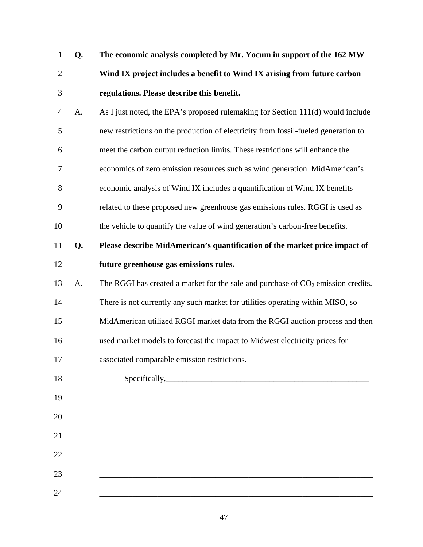| $\mathbf{1}$   | Q. | The economic analysis completed by Mr. Yocum in support of the 162 MW              |  |  |
|----------------|----|------------------------------------------------------------------------------------|--|--|
| $\overline{2}$ |    | Wind IX project includes a benefit to Wind IX arising from future carbon           |  |  |
| 3              |    | regulations. Please describe this benefit.                                         |  |  |
| 4              | A. | As I just noted, the EPA's proposed rulemaking for Section 111(d) would include    |  |  |
| 5              |    | new restrictions on the production of electricity from fossil-fueled generation to |  |  |
| 6              |    | meet the carbon output reduction limits. These restrictions will enhance the       |  |  |
| $\tau$         |    | economics of zero emission resources such as wind generation. MidAmerican's        |  |  |
| 8              |    | economic analysis of Wind IX includes a quantification of Wind IX benefits         |  |  |
| 9              |    | related to these proposed new greenhouse gas emissions rules. RGGI is used as      |  |  |
| 10             |    | the vehicle to quantify the value of wind generation's carbon-free benefits.       |  |  |
| 11             | Q. | Please describe MidAmerican's quantification of the market price impact of         |  |  |
| 12             |    | future greenhouse gas emissions rules.                                             |  |  |
| 13             | A. | The RGGI has created a market for the sale and purchase of $CO2$ emission credits. |  |  |
| 14             |    | There is not currently any such market for utilities operating within MISO, so     |  |  |
| 15             |    | MidAmerican utilized RGGI market data from the RGGI auction process and then       |  |  |
| 16             |    | used market models to forecast the impact to Midwest electricity prices for        |  |  |
| 17             |    | associated comparable emission restrictions.                                       |  |  |
| 18             |    | Specifically,                                                                      |  |  |
| 19             |    |                                                                                    |  |  |
| 20             |    |                                                                                    |  |  |
| 21             |    |                                                                                    |  |  |
| 22             |    |                                                                                    |  |  |
| 23             |    |                                                                                    |  |  |
| 24             |    |                                                                                    |  |  |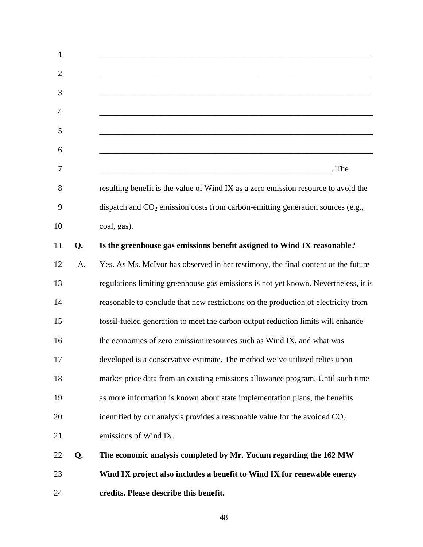| $\mathbf{1}$   |    |                                                                                                                                 |
|----------------|----|---------------------------------------------------------------------------------------------------------------------------------|
| $\overline{2}$ |    |                                                                                                                                 |
| 3              |    |                                                                                                                                 |
| 4              |    |                                                                                                                                 |
| 5              |    |                                                                                                                                 |
| 6              |    |                                                                                                                                 |
| 7              |    | . The<br><u> 1980 - Johann Barn, mars ann an t-Amhain ann an t-Amhain an t-Amhain an t-Amhain an t-Amhain an t-Amhain an t-</u> |
| 8              |    | resulting benefit is the value of Wind IX as a zero emission resource to avoid the                                              |
| 9              |    | dispatch and $CO2$ emission costs from carbon-emitting generation sources (e.g.,                                                |
| 10             |    | coal, gas).                                                                                                                     |
| 11             | Q. | Is the greenhouse gas emissions benefit assigned to Wind IX reasonable?                                                         |
| 12             | A. | Yes. As Ms. McIvor has observed in her testimony, the final content of the future                                               |
| 13             |    | regulations limiting greenhouse gas emissions is not yet known. Nevertheless, it is                                             |
| 14             |    | reasonable to conclude that new restrictions on the production of electricity from                                              |
| 15             |    | fossil-fueled generation to meet the carbon output reduction limits will enhance                                                |
| 16             |    | the economics of zero emission resources such as Wind IX, and what was                                                          |
| 17             |    | developed is a conservative estimate. The method we've utilized relies upon                                                     |
| 18             |    | market price data from an existing emissions allowance program. Until such time                                                 |
| 19             |    | as more information is known about state implementation plans, the benefits                                                     |
| 20             |    | identified by our analysis provides a reasonable value for the avoided $CO2$                                                    |
| 21             |    | emissions of Wind IX.                                                                                                           |
| 22             | Q. | The economic analysis completed by Mr. Yocum regarding the 162 MW                                                               |
| 23             |    | Wind IX project also includes a benefit to Wind IX for renewable energy                                                         |
| 24             |    | credits. Please describe this benefit.                                                                                          |
|                |    |                                                                                                                                 |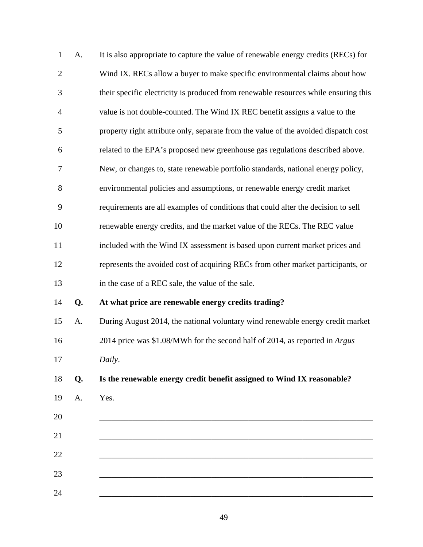| $\mathbf{1}$   | A. | It is also appropriate to capture the value of renewable energy credits (RECs) for  |
|----------------|----|-------------------------------------------------------------------------------------|
| $\overline{2}$ |    | Wind IX. RECs allow a buyer to make specific environmental claims about how         |
| 3              |    | their specific electricity is produced from renewable resources while ensuring this |
| $\overline{4}$ |    | value is not double-counted. The Wind IX REC benefit assigns a value to the         |
| 5              |    | property right attribute only, separate from the value of the avoided dispatch cost |
| 6              |    | related to the EPA's proposed new greenhouse gas regulations described above.       |
| $\tau$         |    | New, or changes to, state renewable portfolio standards, national energy policy,    |
| 8              |    | environmental policies and assumptions, or renewable energy credit market           |
| 9              |    | requirements are all examples of conditions that could alter the decision to sell   |
| 10             |    | renewable energy credits, and the market value of the RECs. The REC value           |
| 11             |    | included with the Wind IX assessment is based upon current market prices and        |
| 12             |    | represents the avoided cost of acquiring RECs from other market participants, or    |
| 13             |    | in the case of a REC sale, the value of the sale.                                   |
| 14             | Q. | At what price are renewable energy credits trading?                                 |
| 15             | A. | During August 2014, the national voluntary wind renewable energy credit market      |
| 16             |    | 2014 price was \$1.08/MWh for the second half of 2014, as reported in Argus         |
| 17             |    | Daily.                                                                              |
| 18             | Q. | Is the renewable energy credit benefit assigned to Wind IX reasonable?              |
| 19             | A. | Yes.                                                                                |
| 20             |    |                                                                                     |
| 21             |    |                                                                                     |
| 22             |    |                                                                                     |
| 23             |    |                                                                                     |
| 24             |    |                                                                                     |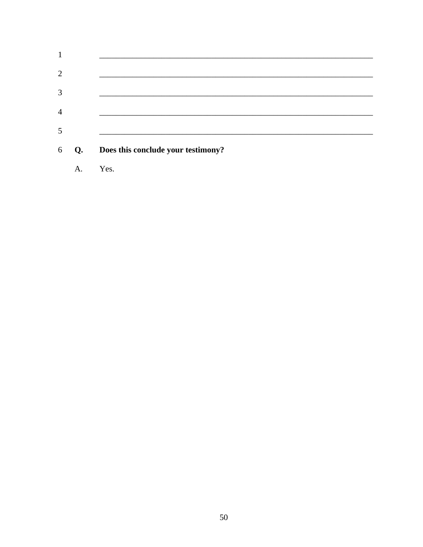|                | A. | Yes.                               |
|----------------|----|------------------------------------|
| 6              | Q. | Does this conclude your testimony? |
| 5              |    |                                    |
| $\overline{4}$ |    |                                    |
| 3              |    |                                    |
| $\overline{2}$ |    |                                    |
| 1              |    |                                    |